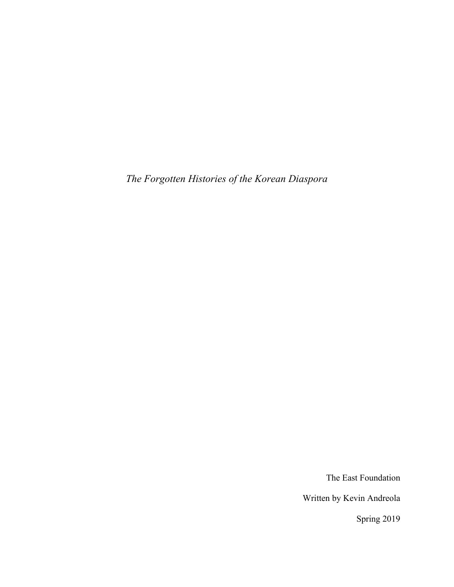*The Forgotten Histories of the Korean Diaspora* 

The East Foundation

Written by Kevin Andreola

Spring 2019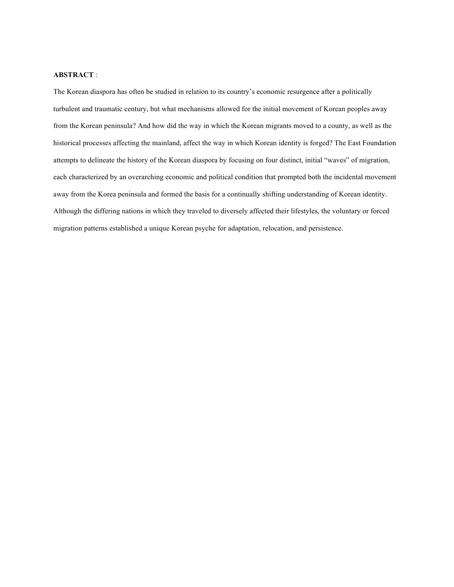#### **ABSTRACT** :

The Korean diaspora has often be studied in relation to its country's economic resurgence after a politically turbulent and traumatic century, but what mechanisms allowed for the initial movement of Korean peoples away from the Korean peninsula? And how did the way in which the Korean migrants moved to a county, as well as the historical processes affecting the mainland, affect the way in which Korean identity is forged? The East Foundation attempts to delineate the history of the Korean diaspora by focusing on four distinct, initial "waves" of migration, each characterized by an overarching economic and political condition that prompted both the incidental movement away from the Korea peninsula and formed the basis for a continually shifting understanding of Korean identity. Although the differing nations in which they traveled to diversely affected their lifestyles, the voluntary or forced migration patterns established a unique Korean psyche for adaptation, relocation, and persistence.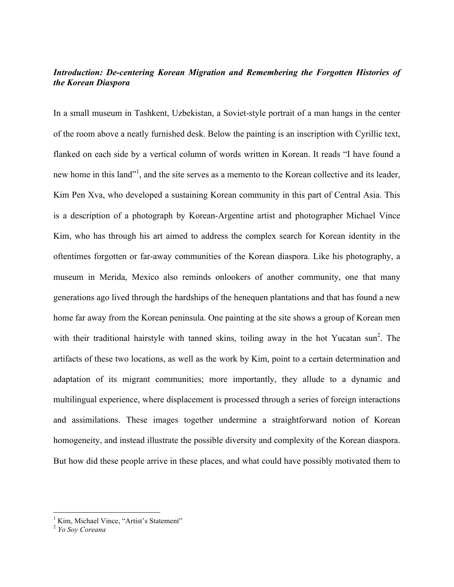# *Introduction: De-centering Korean Migration and Remembering the Forgotten Histories of the Korean Diaspora*

In a small museum in Tashkent, Uzbekistan, a Soviet-style portrait of a man hangs in the center of the room above a neatly furnished desk. Below the painting is an inscription with Cyrillic text, flanked on each side by a vertical column of words written in Korean. It reads "I have found a new home in this land"<sup>1</sup>, and the site serves as a memento to the Korean collective and its leader, Kim Pen Xva, who developed a sustaining Korean community in this part of Central Asia. This is a description of a photograph by Korean-Argentine artist and photographer Michael Vince Kim, who has through his art aimed to address the complex search for Korean identity in the oftentimes forgotten or far-away communities of the Korean diaspora. Like his photography, a museum in Merida, Mexico also reminds onlookers of another community, one that many generations ago lived through the hardships of the henequen plantations and that has found a new home far away from the Korean peninsula. One painting at the site shows a group of Korean men with their traditional hairstyle with tanned skins, toiling away in the hot Yucatan sun<sup>2</sup>. The artifacts of these two locations, as well as the work by Kim, point to a certain determination and adaptation of its migrant communities; more importantly, they allude to a dynamic and multilingual experience, where displacement is processed through a series of foreign interactions and assimilations. These images together undermine a straightforward notion of Korean homogeneity, and instead illustrate the possible diversity and complexity of the Korean diaspora. But how did these people arrive in these places, and what could have possibly motivated them to

 $\frac{1}{1}$ Kim, Michael Vince, "Artist's Statement" <sup>2</sup> *Yo Soy Coreana*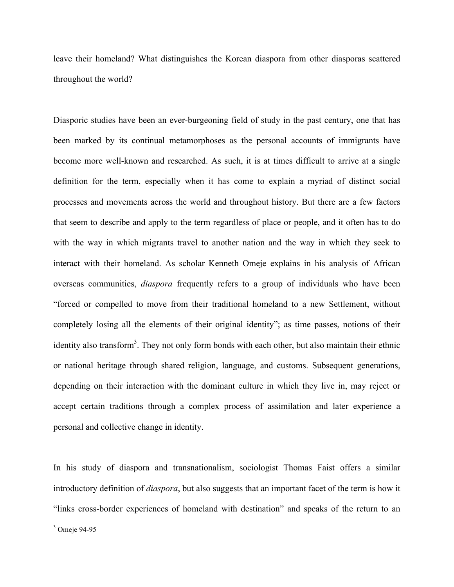leave their homeland? What distinguishes the Korean diaspora from other diasporas scattered throughout the world?

Diasporic studies have been an ever-burgeoning field of study in the past century, one that has been marked by its continual metamorphoses as the personal accounts of immigrants have become more well-known and researched. As such, it is at times difficult to arrive at a single definition for the term, especially when it has come to explain a myriad of distinct social processes and movements across the world and throughout history. But there are a few factors that seem to describe and apply to the term regardless of place or people, and it often has to do with the way in which migrants travel to another nation and the way in which they seek to interact with their homeland. As scholar Kenneth Omeje explains in his analysis of African overseas communities, *diaspora* frequently refers to a group of individuals who have been "forced or compelled to move from their traditional homeland to a new Settlement, without completely losing all the elements of their original identity"; as time passes, notions of their identity also transform<sup>3</sup>. They not only form bonds with each other, but also maintain their ethnic or national heritage through shared religion, language, and customs. Subsequent generations, depending on their interaction with the dominant culture in which they live in, may reject or accept certain traditions through a complex process of assimilation and later experience a personal and collective change in identity.

In his study of diaspora and transnationalism, sociologist Thomas Faist offers a similar introductory definition of *diaspora*, but also suggests that an important facet of the term is how it "links cross-border experiences of homeland with destination" and speaks of the return to an

<sup>&</sup>lt;sup>3</sup>  $3$  Omeje 94-95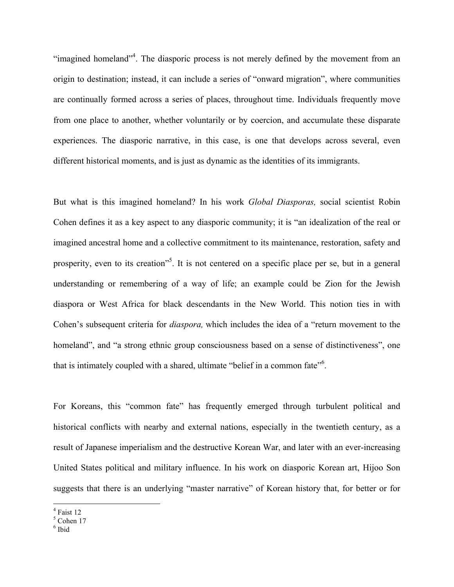"imagined homeland"<sup>4</sup>. The diasporic process is not merely defined by the movement from an origin to destination; instead, it can include a series of "onward migration", where communities are continually formed across a series of places, throughout time. Individuals frequently move from one place to another, whether voluntarily or by coercion, and accumulate these disparate experiences. The diasporic narrative, in this case, is one that develops across several, even different historical moments, and is just as dynamic as the identities of its immigrants.

But what is this imagined homeland? In his work *Global Diasporas,* social scientist Robin Cohen defines it as a key aspect to any diasporic community; it is "an idealization of the real or imagined ancestral home and a collective commitment to its maintenance, restoration, safety and prosperity, even to its creation<sup>55</sup>. It is not centered on a specific place per se, but in a general understanding or remembering of a way of life; an example could be Zion for the Jewish diaspora or West Africa for black descendants in the New World. This notion ties in with Cohen's subsequent criteria for *diaspora,* which includes the idea of a "return movement to the homeland", and "a strong ethnic group consciousness based on a sense of distinctiveness", one that is intimately coupled with a shared, ultimate "belief in a common fate"<sup>6</sup>.

For Koreans, this "common fate" has frequently emerged through turbulent political and historical conflicts with nearby and external nations, especially in the twentieth century, as a result of Japanese imperialism and the destructive Korean War, and later with an ever-increasing United States political and military influence. In his work on diasporic Korean art, Hijoo Son suggests that there is an underlying "master narrative" of Korean history that, for better or for

 $\frac{1}{4}$ 

<sup>&</sup>lt;sup>4</sup> Faist 12<br><sup>5</sup> Cohen 17

<sup>6</sup> Ibid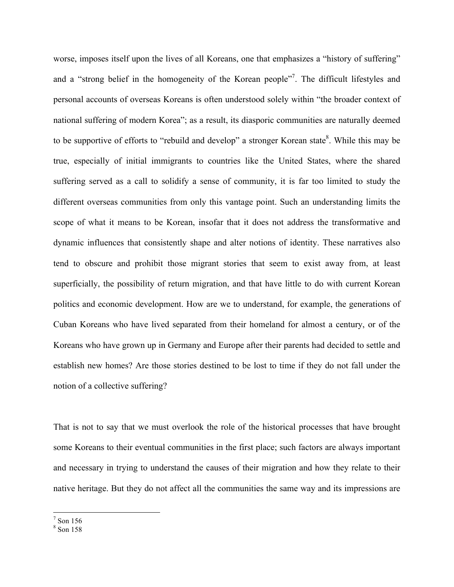worse, imposes itself upon the lives of all Koreans, one that emphasizes a "history of suffering" and a "strong belief in the homogeneity of the Korean people"<sup>7</sup>. The difficult lifestyles and personal accounts of overseas Koreans is often understood solely within "the broader context of national suffering of modern Korea"; as a result, its diasporic communities are naturally deemed to be supportive of efforts to "rebuild and develop" a stronger Korean state<sup>8</sup>. While this may be true, especially of initial immigrants to countries like the United States, where the shared suffering served as a call to solidify a sense of community, it is far too limited to study the different overseas communities from only this vantage point. Such an understanding limits the scope of what it means to be Korean, insofar that it does not address the transformative and dynamic influences that consistently shape and alter notions of identity. These narratives also tend to obscure and prohibit those migrant stories that seem to exist away from, at least superficially, the possibility of return migration, and that have little to do with current Korean politics and economic development. How are we to understand, for example, the generations of Cuban Koreans who have lived separated from their homeland for almost a century, or of the Koreans who have grown up in Germany and Europe after their parents had decided to settle and establish new homes? Are those stories destined to be lost to time if they do not fall under the notion of a collective suffering?

That is not to say that we must overlook the role of the historical processes that have brought some Koreans to their eventual communities in the first place; such factors are always important and necessary in trying to understand the causes of their migration and how they relate to their native heritage. But they do not affect all the communities the same way and its impressions are

<sup>-&</sup>lt;br>7  $<sup>7</sup>$  Son 156</sup>

<sup>8</sup> Son 158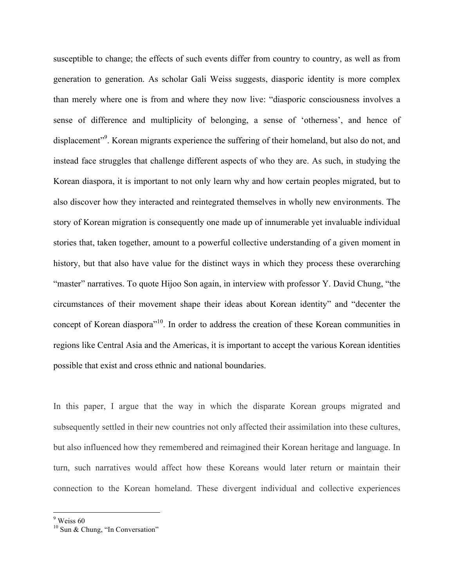susceptible to change; the effects of such events differ from country to country, as well as from generation to generation. As scholar Gali Weiss suggests, diasporic identity is more complex than merely where one is from and where they now live: "diasporic consciousness involves a sense of difference and multiplicity of belonging, a sense of 'otherness', and hence of displacement"<sup>9</sup>. Korean migrants experience the suffering of their homeland, but also do not, and instead face struggles that challenge different aspects of who they are. As such, in studying the Korean diaspora, it is important to not only learn why and how certain peoples migrated, but to also discover how they interacted and reintegrated themselves in wholly new environments. The story of Korean migration is consequently one made up of innumerable yet invaluable individual stories that, taken together, amount to a powerful collective understanding of a given moment in history, but that also have value for the distinct ways in which they process these overarching "master" narratives. To quote Hijoo Son again, in interview with professor Y. David Chung, "the circumstances of their movement shape their ideas about Korean identity" and "decenter the concept of Korean diaspora<sup>"10</sup>. In order to address the creation of these Korean communities in regions like Central Asia and the Americas, it is important to accept the various Korean identities possible that exist and cross ethnic and national boundaries.

In this paper, I argue that the way in which the disparate Korean groups migrated and subsequently settled in their new countries not only affected their assimilation into these cultures, but also influenced how they remembered and reimagined their Korean heritage and language. In turn, such narratives would affect how these Koreans would later return or maintain their connection to the Korean homeland. These divergent individual and collective experiences

<sup>-&</sup>lt;br>9  $9$  Weiss 60

<sup>&</sup>lt;sup>10</sup> Sun & Chung, "In Conversation"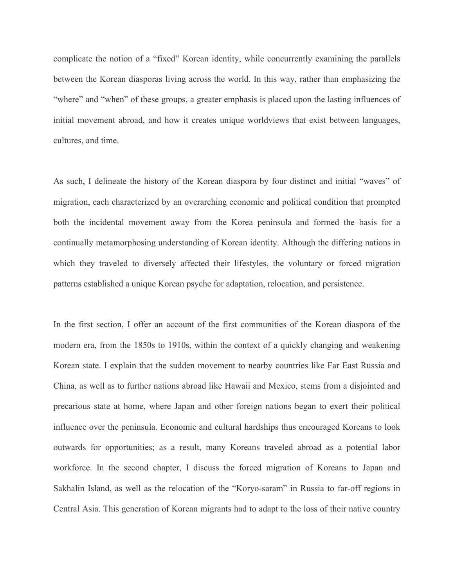complicate the notion of a "fixed" Korean identity, while concurrently examining the parallels between the Korean diasporas living across the world. In this way, rather than emphasizing the "where" and "when" of these groups, a greater emphasis is placed upon the lasting influences of initial movement abroad, and how it creates unique worldviews that exist between languages, cultures, and time.

As such, I delineate the history of the Korean diaspora by four distinct and initial "waves" of migration, each characterized by an overarching economic and political condition that prompted both the incidental movement away from the Korea peninsula and formed the basis for a continually metamorphosing understanding of Korean identity. Although the differing nations in which they traveled to diversely affected their lifestyles, the voluntary or forced migration patterns established a unique Korean psyche for adaptation, relocation, and persistence.

In the first section, I offer an account of the first communities of the Korean diaspora of the modern era, from the 1850s to 1910s, within the context of a quickly changing and weakening Korean state. I explain that the sudden movement to nearby countries like Far East Russia and China, as well as to further nations abroad like Hawaii and Mexico, stems from a disjointed and precarious state at home, where Japan and other foreign nations began to exert their political influence over the peninsula. Economic and cultural hardships thus encouraged Koreans to look outwards for opportunities; as a result, many Koreans traveled abroad as a potential labor workforce. In the second chapter, I discuss the forced migration of Koreans to Japan and Sakhalin Island, as well as the relocation of the "Koryo-saram" in Russia to far-off regions in Central Asia. This generation of Korean migrants had to adapt to the loss of their native country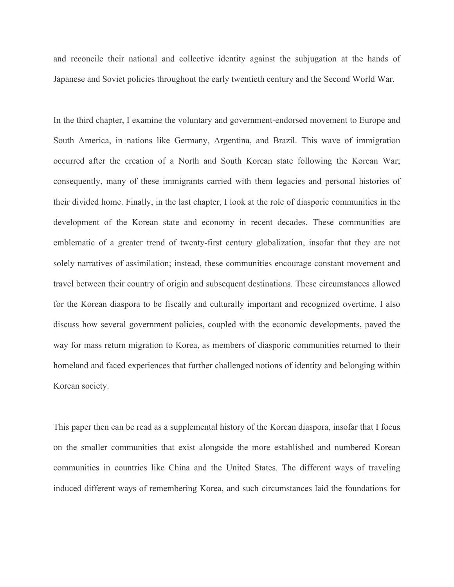and reconcile their national and collective identity against the subjugation at the hands of Japanese and Soviet policies throughout the early twentieth century and the Second World War.

In the third chapter, I examine the voluntary and government-endorsed movement to Europe and South America, in nations like Germany, Argentina, and Brazil. This wave of immigration occurred after the creation of a North and South Korean state following the Korean War; consequently, many of these immigrants carried with them legacies and personal histories of their divided home. Finally, in the last chapter, I look at the role of diasporic communities in the development of the Korean state and economy in recent decades. These communities are emblematic of a greater trend of twenty-first century globalization, insofar that they are not solely narratives of assimilation; instead, these communities encourage constant movement and travel between their country of origin and subsequent destinations. These circumstances allowed for the Korean diaspora to be fiscally and culturally important and recognized overtime. I also discuss how several government policies, coupled with the economic developments, paved the way for mass return migration to Korea, as members of diasporic communities returned to their homeland and faced experiences that further challenged notions of identity and belonging within Korean society.

This paper then can be read as a supplemental history of the Korean diaspora, insofar that I focus on the smaller communities that exist alongside the more established and numbered Korean communities in countries like China and the United States. The different ways of traveling induced different ways of remembering Korea, and such circumstances laid the foundations for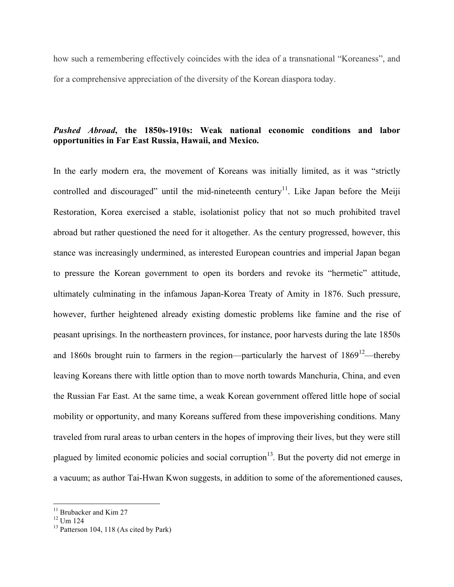how such a remembering effectively coincides with the idea of a transnational "Koreaness", and for a comprehensive appreciation of the diversity of the Korean diaspora today.

# *Pushed Abroad***, the 1850s-1910s: Weak national economic conditions and labor opportunities in Far East Russia, Hawaii, and Mexico.**

In the early modern era, the movement of Koreans was initially limited, as it was "strictly controlled and discouraged" until the mid-nineteenth century<sup>11</sup>. Like Japan before the Meiji Restoration, Korea exercised a stable, isolationist policy that not so much prohibited travel abroad but rather questioned the need for it altogether. As the century progressed, however, this stance was increasingly undermined, as interested European countries and imperial Japan began to pressure the Korean government to open its borders and revoke its "hermetic" attitude, ultimately culminating in the infamous Japan-Korea Treaty of Amity in 1876. Such pressure, however, further heightened already existing domestic problems like famine and the rise of peasant uprisings. In the northeastern provinces, for instance, poor harvests during the late 1850s and 1860s brought ruin to farmers in the region—particularly the harvest of  $1869^{12}$ —thereby leaving Koreans there with little option than to move north towards Manchuria, China, and even the Russian Far East. At the same time, a weak Korean government offered little hope of social mobility or opportunity, and many Koreans suffered from these impoverishing conditions. Many traveled from rural areas to urban centers in the hopes of improving their lives, but they were still plagued by limited economic policies and social corruption<sup>13</sup>. But the poverty did not emerge in a vacuum; as author Tai-Hwan Kwon suggests, in addition to some of the aforementioned causes,

<sup>&</sup>lt;sup>11</sup> Brubacker and Kim 27

 $12$  Um  $124$ 

 $13$  Patterson 104, 118 (As cited by Park)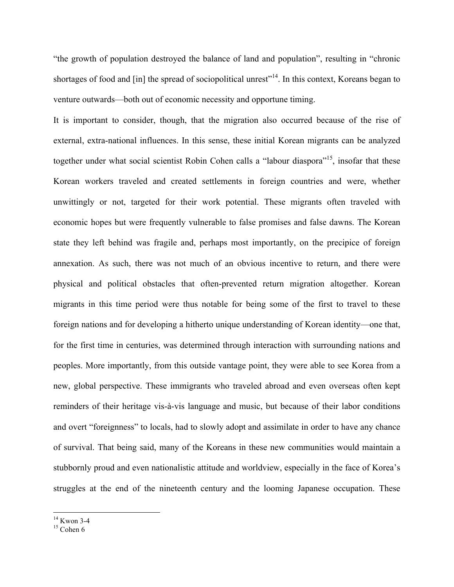"the growth of population destroyed the balance of land and population", resulting in "chronic shortages of food and [in] the spread of sociopolitical unrest<sup>"14</sup>. In this context, Koreans began to venture outwards—both out of economic necessity and opportune timing.

It is important to consider, though, that the migration also occurred because of the rise of external, extra-national influences. In this sense, these initial Korean migrants can be analyzed together under what social scientist Robin Cohen calls a "labour diaspora"<sup>15</sup>, insofar that these Korean workers traveled and created settlements in foreign countries and were, whether unwittingly or not, targeted for their work potential. These migrants often traveled with economic hopes but were frequently vulnerable to false promises and false dawns. The Korean state they left behind was fragile and, perhaps most importantly, on the precipice of foreign annexation. As such, there was not much of an obvious incentive to return, and there were physical and political obstacles that often-prevented return migration altogether. Korean migrants in this time period were thus notable for being some of the first to travel to these foreign nations and for developing a hitherto unique understanding of Korean identity—one that, for the first time in centuries, was determined through interaction with surrounding nations and peoples. More importantly, from this outside vantage point, they were able to see Korea from a new, global perspective. These immigrants who traveled abroad and even overseas often kept reminders of their heritage vis-à-vis language and music, but because of their labor conditions and overt "foreignness" to locals, had to slowly adopt and assimilate in order to have any chance of survival. That being said, many of the Koreans in these new communities would maintain a stubbornly proud and even nationalistic attitude and worldview, especially in the face of Korea's struggles at the end of the nineteenth century and the looming Japanese occupation. These

 $^{14}$  Kwon 3-4<br> $^{15}$  Cohen 6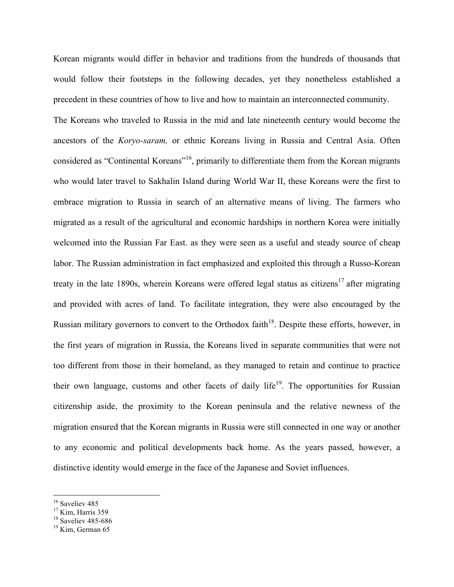Korean migrants would differ in behavior and traditions from the hundreds of thousands that would follow their footsteps in the following decades, yet they nonetheless established a precedent in these countries of how to live and how to maintain an interconnected community.

The Koreans who traveled to Russia in the mid and late nineteenth century would become the ancestors of the *Koryo-saram,* or ethnic Koreans living in Russia and Central Asia. Often considered as "Continental Koreans"16, primarily to differentiate them from the Korean migrants who would later travel to Sakhalin Island during World War II, these Koreans were the first to embrace migration to Russia in search of an alternative means of living. The farmers who migrated as a result of the agricultural and economic hardships in northern Korea were initially welcomed into the Russian Far East. as they were seen as a useful and steady source of cheap labor. The Russian administration in fact emphasized and exploited this through a Russo-Korean treaty in the late 1890s, wherein Koreans were offered legal status as citizens<sup>17</sup> after migrating and provided with acres of land. To facilitate integration, they were also encouraged by the Russian military governors to convert to the Orthodox faith<sup>18</sup>. Despite these efforts, however, in the first years of migration in Russia, the Koreans lived in separate communities that were not too different from those in their homeland, as they managed to retain and continue to practice their own language, customs and other facets of daily life<sup>19</sup>. The opportunities for Russian citizenship aside, the proximity to the Korean peninsula and the relative newness of the migration ensured that the Korean migrants in Russia were still connected in one way or another to any economic and political developments back home. As the years passed, however, a distinctive identity would emerge in the face of the Japanese and Soviet influences.

<sup>&</sup>lt;sup>16</sup> Saveliev 485

 $17$  Kim, Harris 359

<sup>&</sup>lt;sup>18</sup> Saveliev 485-686<br><sup>19</sup> Kim, German 65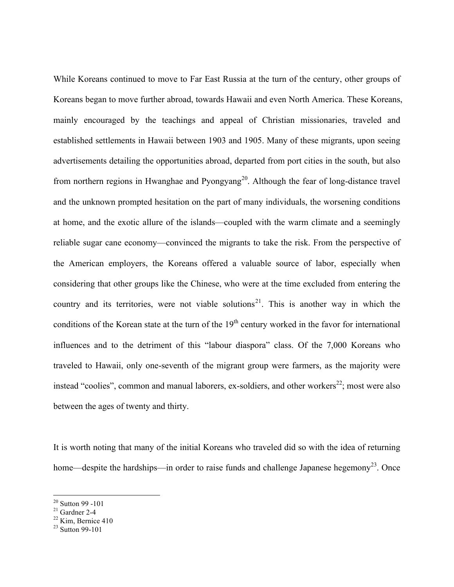While Koreans continued to move to Far East Russia at the turn of the century, other groups of Koreans began to move further abroad, towards Hawaii and even North America. These Koreans, mainly encouraged by the teachings and appeal of Christian missionaries, traveled and established settlements in Hawaii between 1903 and 1905. Many of these migrants, upon seeing advertisements detailing the opportunities abroad, departed from port cities in the south, but also from northern regions in Hwanghae and Pyongyang<sup>20</sup>. Although the fear of long-distance travel and the unknown prompted hesitation on the part of many individuals, the worsening conditions at home, and the exotic allure of the islands—coupled with the warm climate and a seemingly reliable sugar cane economy—convinced the migrants to take the risk. From the perspective of the American employers, the Koreans offered a valuable source of labor, especially when considering that other groups like the Chinese, who were at the time excluded from entering the country and its territories, were not viable solutions<sup>21</sup>. This is another way in which the conditions of the Korean state at the turn of the 19<sup>th</sup> century worked in the favor for international influences and to the detriment of this "labour diaspora" class. Of the 7,000 Koreans who traveled to Hawaii, only one-seventh of the migrant group were farmers, as the majority were instead "coolies", common and manual laborers, ex-soldiers, and other workers<sup>22</sup>; most were also between the ages of twenty and thirty.

It is worth noting that many of the initial Koreans who traveled did so with the idea of returning home—despite the hardships—in order to raise funds and challenge Japanese hegemony<sup>23</sup>. Once

<sup>&</sup>lt;sup>20</sup> Sutton 99 -101<br><sup>21</sup> Gardner 2-4<br><sup>22</sup> Kim, Bernice 410

 $^{23}$  Sutton 99-101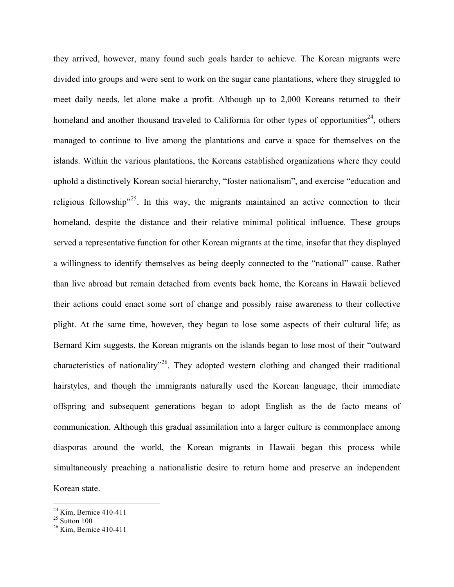they arrived, however, many found such goals harder to achieve. The Korean migrants were divided into groups and were sent to work on the sugar cane plantations, where they struggled to meet daily needs, let alone make a profit. Although up to 2,000 Koreans returned to their homeland and another thousand traveled to California for other types of opportunities<sup>24</sup>, others managed to continue to live among the plantations and carve a space for themselves on the islands. Within the various plantations, the Koreans established organizations where they could uphold a distinctively Korean social hierarchy, "foster nationalism", and exercise "education and religious fellowship"<sup>25</sup>. In this way, the migrants maintained an active connection to their homeland, despite the distance and their relative minimal political influence. These groups served a representative function for other Korean migrants at the time, insofar that they displayed a willingness to identify themselves as being deeply connected to the "national" cause. Rather than live abroad but remain detached from events back home, the Koreans in Hawaii believed their actions could enact some sort of change and possibly raise awareness to their collective plight. At the same time, however, they began to lose some aspects of their cultural life; as Bernard Kim suggests, the Korean migrants on the islands began to lose most of their "outward characteristics of nationality<sup>"26</sup>. They adopted western clothing and changed their traditional hairstyles, and though the immigrants naturally used the Korean language, their immediate offspring and subsequent generations began to adopt English as the de facto means of communication. Although this gradual assimilation into a larger culture is commonplace among diasporas around the world, the Korean migrants in Hawaii began this process while simultaneously preaching a nationalistic desire to return home and preserve an independent Korean state.

 $^{24}$  Kim, Bernice 410-411<br> $^{25}$  Sutton 100

 $26$  Kim, Bernice 410-411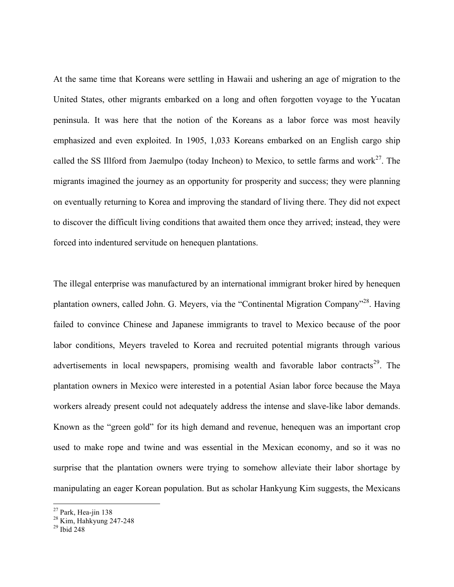At the same time that Koreans were settling in Hawaii and ushering an age of migration to the United States, other migrants embarked on a long and often forgotten voyage to the Yucatan peninsula. It was here that the notion of the Koreans as a labor force was most heavily emphasized and even exploited. In 1905, 1,033 Koreans embarked on an English cargo ship called the SS Illford from Jaemulpo (today Incheon) to Mexico, to settle farms and work<sup>27</sup>. The migrants imagined the journey as an opportunity for prosperity and success; they were planning on eventually returning to Korea and improving the standard of living there. They did not expect to discover the difficult living conditions that awaited them once they arrived; instead, they were forced into indentured servitude on henequen plantations.

The illegal enterprise was manufactured by an international immigrant broker hired by henequen plantation owners, called John. G. Meyers, via the "Continental Migration Company"<sup>28</sup>. Having failed to convince Chinese and Japanese immigrants to travel to Mexico because of the poor labor conditions, Meyers traveled to Korea and recruited potential migrants through various advertisements in local newspapers, promising wealth and favorable labor contracts<sup>29</sup>. The plantation owners in Mexico were interested in a potential Asian labor force because the Maya workers already present could not adequately address the intense and slave-like labor demands. Known as the "green gold" for its high demand and revenue, henequen was an important crop used to make rope and twine and was essential in the Mexican economy, and so it was no surprise that the plantation owners were trying to somehow alleviate their labor shortage by manipulating an eager Korean population. But as scholar Hankyung Kim suggests, the Mexicans

<sup>&</sup>lt;sup>27</sup> Park, Hea-jin 138<br><sup>28</sup> Kim, Hahkyung 247-248<br><sup>29</sup> Ibid 248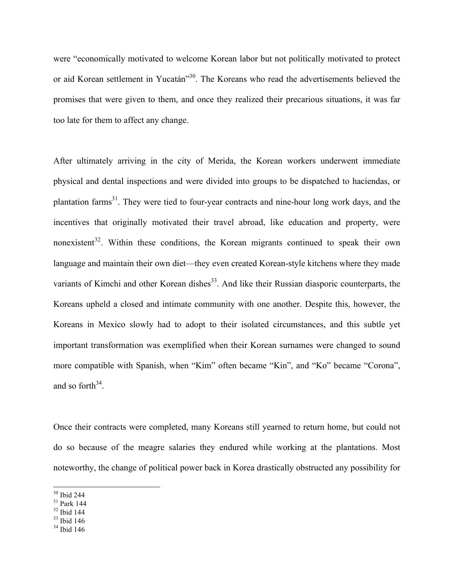were "economically motivated to welcome Korean labor but not politically motivated to protect or aid Korean settlement in Yucatán<sup>330</sup>. The Koreans who read the advertisements believed the promises that were given to them, and once they realized their precarious situations, it was far too late for them to affect any change.

After ultimately arriving in the city of Merida, the Korean workers underwent immediate physical and dental inspections and were divided into groups to be dispatched to haciendas, or plantation farms<sup>31</sup>. They were tied to four-year contracts and nine-hour long work days, and the incentives that originally motivated their travel abroad, like education and property, were nonexistent<sup>32</sup>. Within these conditions, the Korean migrants continued to speak their own language and maintain their own diet—they even created Korean-style kitchens where they made variants of Kimchi and other Korean dishes<sup>33</sup>. And like their Russian diasporic counterparts, the Koreans upheld a closed and intimate community with one another. Despite this, however, the Koreans in Mexico slowly had to adopt to their isolated circumstances, and this subtle yet important transformation was exemplified when their Korean surnames were changed to sound more compatible with Spanish, when "Kim" often became "Kin", and "Ko" became "Corona", and so forth $34$ .

Once their contracts were completed, many Koreans still yearned to return home, but could not do so because of the meagre salaries they endured while working at the plantations. Most noteworthy, the change of political power back in Korea drastically obstructed any possibility for

 <sup>30</sup> Ibid 244

<sup>31</sup> Park 144

 $32$  Ibid 144

 $33$  Ibid 146

 $34$  Ibid 146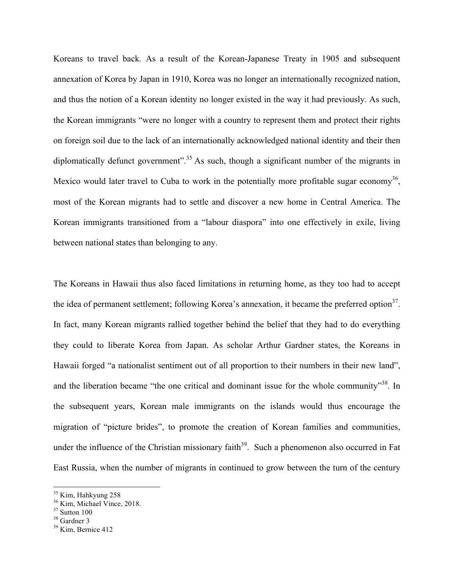Koreans to travel back. As a result of the Korean-Japanese Treaty in 1905 and subsequent annexation of Korea by Japan in 1910, Korea was no longer an internationally recognized nation, and thus the notion of a Korean identity no longer existed in the way it had previously. As such, the Korean immigrants "were no longer with a country to represent them and protect their rights on foreign soil due to the lack of an internationally acknowledged national identity and their then diplomatically defunct government".<sup>35</sup> As such, though a significant number of the migrants in Mexico would later travel to Cuba to work in the potentially more profitable sugar economy<sup>36</sup>, most of the Korean migrants had to settle and discover a new home in Central America. The Korean immigrants transitioned from a "labour diaspora" into one effectively in exile, living between national states than belonging to any.

The Koreans in Hawaii thus also faced limitations in returning home, as they too had to accept the idea of permanent settlement; following Korea's annexation, it became the preferred option $37$ . In fact, many Korean migrants rallied together behind the belief that they had to do everything they could to liberate Korea from Japan. As scholar Arthur Gardner states, the Koreans in Hawaii forged "a nationalist sentiment out of all proportion to their numbers in their new land", and the liberation became "the one critical and dominant issue for the whole community"<sup>38</sup>. In the subsequent years, Korean male immigrants on the islands would thus encourage the migration of "picture brides", to promote the creation of Korean families and communities, under the influence of the Christian missionary faith<sup>39</sup>. Such a phenomenon also occurred in Fat East Russia, when the number of migrants in continued to grow between the turn of the century

<sup>&</sup>lt;sup>35</sup> Kim, Hahkyung 258<br><sup>36</sup> Kim, Michael Vince, 2018.

 $37$  Sutton 100

<sup>&</sup>lt;sup>38</sup> Gardner 3

 $39$  Kim, Bernice 412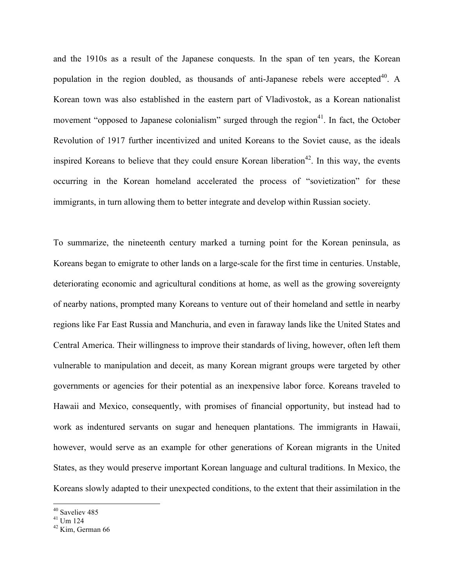and the 1910s as a result of the Japanese conquests. In the span of ten years, the Korean population in the region doubled, as thousands of anti-Japanese rebels were accepted<sup>40</sup>. A Korean town was also established in the eastern part of Vladivostok, as a Korean nationalist movement "opposed to Japanese colonialism" surged through the region<sup>41</sup>. In fact, the October Revolution of 1917 further incentivized and united Koreans to the Soviet cause, as the ideals inspired Koreans to believe that they could ensure Korean liberation<sup>42</sup>. In this way, the events occurring in the Korean homeland accelerated the process of "sovietization" for these immigrants, in turn allowing them to better integrate and develop within Russian society.

To summarize, the nineteenth century marked a turning point for the Korean peninsula, as Koreans began to emigrate to other lands on a large-scale for the first time in centuries. Unstable, deteriorating economic and agricultural conditions at home, as well as the growing sovereignty of nearby nations, prompted many Koreans to venture out of their homeland and settle in nearby regions like Far East Russia and Manchuria, and even in faraway lands like the United States and Central America. Their willingness to improve their standards of living, however, often left them vulnerable to manipulation and deceit, as many Korean migrant groups were targeted by other governments or agencies for their potential as an inexpensive labor force. Koreans traveled to Hawaii and Mexico, consequently, with promises of financial opportunity, but instead had to work as indentured servants on sugar and henequen plantations. The immigrants in Hawaii, however, would serve as an example for other generations of Korean migrants in the United States, as they would preserve important Korean language and cultural traditions. In Mexico, the Koreans slowly adapted to their unexpected conditions, to the extent that their assimilation in the

<sup>&</sup>lt;sup>40</sup> Saveliev 485

 $41$  Um 124

 $42$  Kim, German 66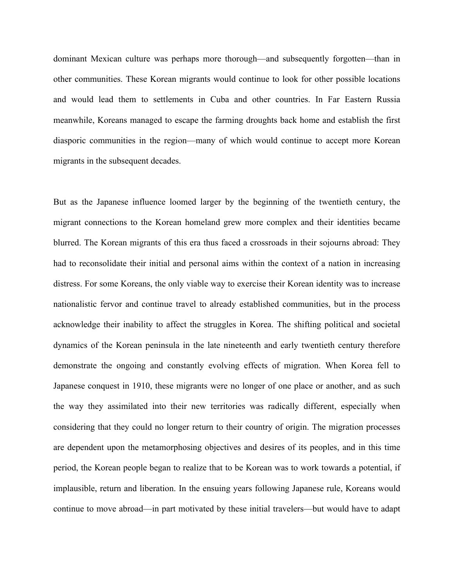dominant Mexican culture was perhaps more thorough—and subsequently forgotten—than in other communities. These Korean migrants would continue to look for other possible locations and would lead them to settlements in Cuba and other countries. In Far Eastern Russia meanwhile, Koreans managed to escape the farming droughts back home and establish the first diasporic communities in the region—many of which would continue to accept more Korean migrants in the subsequent decades.

But as the Japanese influence loomed larger by the beginning of the twentieth century, the migrant connections to the Korean homeland grew more complex and their identities became blurred. The Korean migrants of this era thus faced a crossroads in their sojourns abroad: They had to reconsolidate their initial and personal aims within the context of a nation in increasing distress. For some Koreans, the only viable way to exercise their Korean identity was to increase nationalistic fervor and continue travel to already established communities, but in the process acknowledge their inability to affect the struggles in Korea. The shifting political and societal dynamics of the Korean peninsula in the late nineteenth and early twentieth century therefore demonstrate the ongoing and constantly evolving effects of migration. When Korea fell to Japanese conquest in 1910, these migrants were no longer of one place or another, and as such the way they assimilated into their new territories was radically different, especially when considering that they could no longer return to their country of origin. The migration processes are dependent upon the metamorphosing objectives and desires of its peoples, and in this time period, the Korean people began to realize that to be Korean was to work towards a potential, if implausible, return and liberation. In the ensuing years following Japanese rule, Koreans would continue to move abroad—in part motivated by these initial travelers—but would have to adapt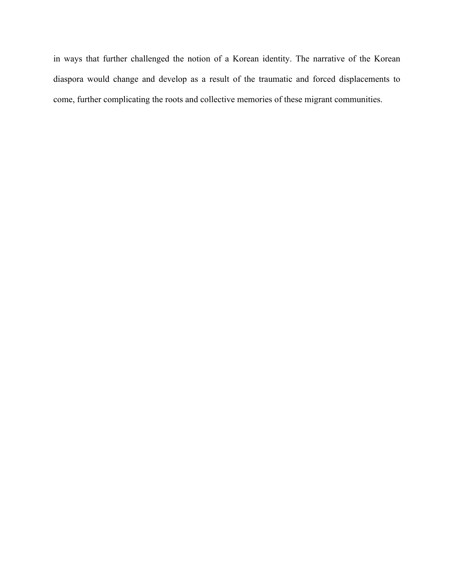in ways that further challenged the notion of a Korean identity. The narrative of the Korean diaspora would change and develop as a result of the traumatic and forced displacements to come, further complicating the roots and collective memories of these migrant communities.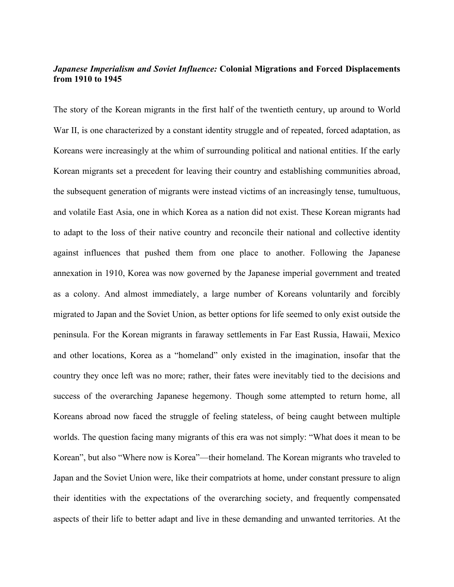## *Japanese Imperialism and Soviet Influence:* **Colonial Migrations and Forced Displacements from 1910 to 1945**

The story of the Korean migrants in the first half of the twentieth century, up around to World War II, is one characterized by a constant identity struggle and of repeated, forced adaptation, as Koreans were increasingly at the whim of surrounding political and national entities. If the early Korean migrants set a precedent for leaving their country and establishing communities abroad, the subsequent generation of migrants were instead victims of an increasingly tense, tumultuous, and volatile East Asia, one in which Korea as a nation did not exist. These Korean migrants had to adapt to the loss of their native country and reconcile their national and collective identity against influences that pushed them from one place to another. Following the Japanese annexation in 1910, Korea was now governed by the Japanese imperial government and treated as a colony. And almost immediately, a large number of Koreans voluntarily and forcibly migrated to Japan and the Soviet Union, as better options for life seemed to only exist outside the peninsula. For the Korean migrants in faraway settlements in Far East Russia, Hawaii, Mexico and other locations, Korea as a "homeland" only existed in the imagination, insofar that the country they once left was no more; rather, their fates were inevitably tied to the decisions and success of the overarching Japanese hegemony. Though some attempted to return home, all Koreans abroad now faced the struggle of feeling stateless, of being caught between multiple worlds. The question facing many migrants of this era was not simply: "What does it mean to be Korean", but also "Where now is Korea"—their homeland. The Korean migrants who traveled to Japan and the Soviet Union were, like their compatriots at home, under constant pressure to align their identities with the expectations of the overarching society, and frequently compensated aspects of their life to better adapt and live in these demanding and unwanted territories. At the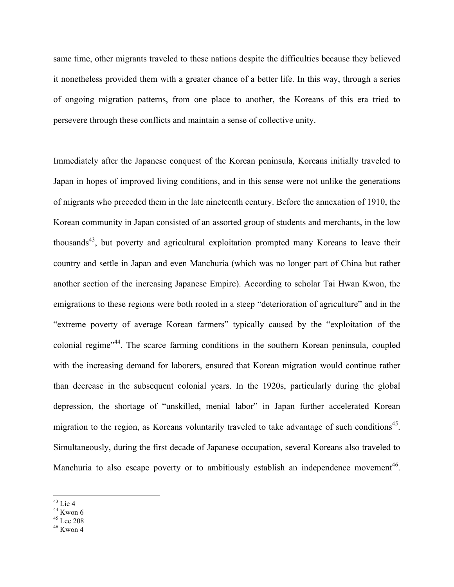same time, other migrants traveled to these nations despite the difficulties because they believed it nonetheless provided them with a greater chance of a better life. In this way, through a series of ongoing migration patterns, from one place to another, the Koreans of this era tried to persevere through these conflicts and maintain a sense of collective unity.

Immediately after the Japanese conquest of the Korean peninsula, Koreans initially traveled to Japan in hopes of improved living conditions, and in this sense were not unlike the generations of migrants who preceded them in the late nineteenth century. Before the annexation of 1910, the Korean community in Japan consisted of an assorted group of students and merchants, in the low thousands<sup>43</sup>, but poverty and agricultural exploitation prompted many Koreans to leave their country and settle in Japan and even Manchuria (which was no longer part of China but rather another section of the increasing Japanese Empire). According to scholar Tai Hwan Kwon, the emigrations to these regions were both rooted in a steep "deterioration of agriculture" and in the "extreme poverty of average Korean farmers" typically caused by the "exploitation of the colonial regime<sup>"44</sup>. The scarce farming conditions in the southern Korean peninsula, coupled with the increasing demand for laborers, ensured that Korean migration would continue rather than decrease in the subsequent colonial years. In the 1920s, particularly during the global depression, the shortage of "unskilled, menial labor" in Japan further accelerated Korean migration to the region, as Koreans voluntarily traveled to take advantage of such conditions<sup>45</sup>. Simultaneously, during the first decade of Japanese occupation, several Koreans also traveled to Manchuria to also escape poverty or to ambitiously establish an independence movement<sup>46</sup>.

 $43$  Lie 4

 $44$  Kwon 6

 $45$  Lee 208

 $46$  Kwon 4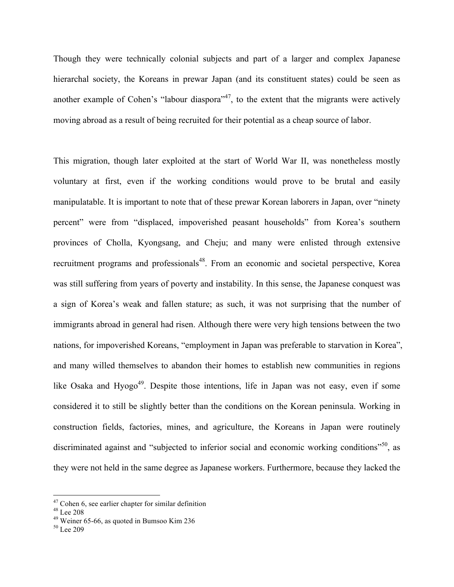Though they were technically colonial subjects and part of a larger and complex Japanese hierarchal society, the Koreans in prewar Japan (and its constituent states) could be seen as another example of Cohen's "labour diaspora"<sup>47</sup>, to the extent that the migrants were actively moving abroad as a result of being recruited for their potential as a cheap source of labor.

This migration, though later exploited at the start of World War II, was nonetheless mostly voluntary at first, even if the working conditions would prove to be brutal and easily manipulatable. It is important to note that of these prewar Korean laborers in Japan, over "ninety percent" were from "displaced, impoverished peasant households" from Korea's southern provinces of Cholla, Kyongsang, and Cheju; and many were enlisted through extensive recruitment programs and professionals<sup>48</sup>. From an economic and societal perspective, Korea was still suffering from years of poverty and instability. In this sense, the Japanese conquest was a sign of Korea's weak and fallen stature; as such, it was not surprising that the number of immigrants abroad in general had risen. Although there were very high tensions between the two nations, for impoverished Koreans, "employment in Japan was preferable to starvation in Korea", and many willed themselves to abandon their homes to establish new communities in regions like Osaka and Hyogo<sup>49</sup>. Despite those intentions, life in Japan was not easy, even if some considered it to still be slightly better than the conditions on the Korean peninsula. Working in construction fields, factories, mines, and agriculture, the Koreans in Japan were routinely discriminated against and "subjected to inferior social and economic working conditions"<sup>50</sup>, as they were not held in the same degree as Japanese workers. Furthermore, because they lacked the

 $47$  Cohen 6, see earlier chapter for similar definition

<sup>48</sup> Lee 208

<sup>&</sup>lt;sup>49</sup> Weiner 65-66, as quoted in Bumsoo Kim 236  $^{50}$  Lee 209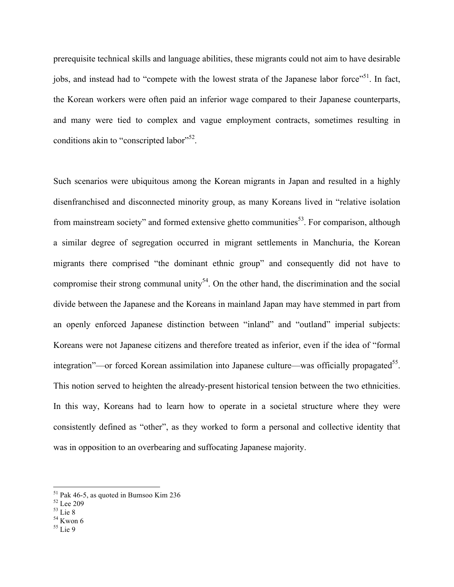prerequisite technical skills and language abilities, these migrants could not aim to have desirable jobs, and instead had to "compete with the lowest strata of the Japanese labor force"<sup>51</sup>. In fact, the Korean workers were often paid an inferior wage compared to their Japanese counterparts, and many were tied to complex and vague employment contracts, sometimes resulting in conditions akin to "conscripted labor"<sup>52</sup>.

Such scenarios were ubiquitous among the Korean migrants in Japan and resulted in a highly disenfranchised and disconnected minority group, as many Koreans lived in "relative isolation from mainstream society" and formed extensive ghetto communities<sup>53</sup>. For comparison, although a similar degree of segregation occurred in migrant settlements in Manchuria, the Korean migrants there comprised "the dominant ethnic group" and consequently did not have to compromise their strong communal unity<sup>54</sup>. On the other hand, the discrimination and the social divide between the Japanese and the Koreans in mainland Japan may have stemmed in part from an openly enforced Japanese distinction between "inland" and "outland" imperial subjects: Koreans were not Japanese citizens and therefore treated as inferior, even if the idea of "formal integration"—or forced Korean assimilation into Japanese culture—was officially propagated<sup>55</sup>. This notion served to heighten the already-present historical tension between the two ethnicities. In this way, Koreans had to learn how to operate in a societal structure where they were consistently defined as "other", as they worked to form a personal and collective identity that was in opposition to an overbearing and suffocating Japanese majority.

55 Lie 9

 $51$  Pak 46-5, as quoted in Bumsoo Kim 236

 $^{52}_{53}$  Lee 209

 $54$  Kwon 6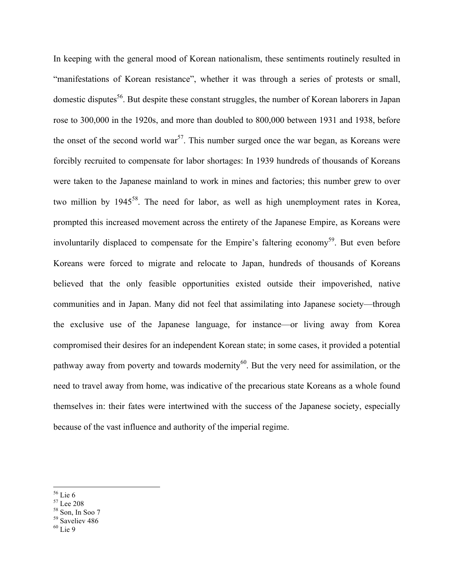In keeping with the general mood of Korean nationalism, these sentiments routinely resulted in "manifestations of Korean resistance", whether it was through a series of protests or small, domestic disputes<sup>56</sup>. But despite these constant struggles, the number of Korean laborers in Japan rose to 300,000 in the 1920s, and more than doubled to 800,000 between 1931 and 1938, before the onset of the second world war<sup>57</sup>. This number surged once the war began, as Koreans were forcibly recruited to compensate for labor shortages: In 1939 hundreds of thousands of Koreans were taken to the Japanese mainland to work in mines and factories; this number grew to over two million by  $1945^{58}$ . The need for labor, as well as high unemployment rates in Korea, prompted this increased movement across the entirety of the Japanese Empire, as Koreans were involuntarily displaced to compensate for the Empire's faltering economy<sup>59</sup>. But even before Koreans were forced to migrate and relocate to Japan, hundreds of thousands of Koreans believed that the only feasible opportunities existed outside their impoverished, native communities and in Japan. Many did not feel that assimilating into Japanese society—through the exclusive use of the Japanese language, for instance—or living away from Korea compromised their desires for an independent Korean state; in some cases, it provided a potential pathway away from poverty and towards modernity<sup>60</sup>. But the very need for assimilation, or the need to travel away from home, was indicative of the precarious state Koreans as a whole found themselves in: their fates were intertwined with the success of the Japanese society, especially because of the vast influence and authority of the imperial regime.

- 56 Lie 6
- 57 Lee 208
- 58 Son, In Soo 7
- 59 Saveliev 486
- $60$  Lie 9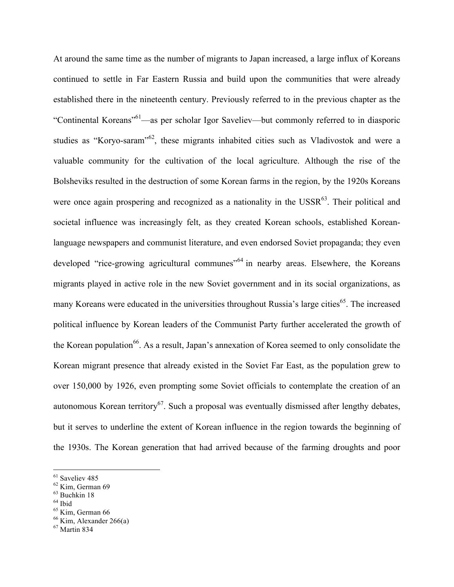At around the same time as the number of migrants to Japan increased, a large influx of Koreans continued to settle in Far Eastern Russia and build upon the communities that were already established there in the nineteenth century. Previously referred to in the previous chapter as the "Continental Koreans"61—as per scholar Igor Saveliev—but commonly referred to in diasporic studies as "Koryo-saram"<sup>62</sup>, these migrants inhabited cities such as Vladivostok and were a valuable community for the cultivation of the local agriculture. Although the rise of the Bolsheviks resulted in the destruction of some Korean farms in the region, by the 1920s Koreans were once again prospering and recognized as a nationality in the  $\text{USSR}^{63}$ . Their political and societal influence was increasingly felt, as they created Korean schools, established Koreanlanguage newspapers and communist literature, and even endorsed Soviet propaganda; they even developed "rice-growing agricultural communes"<sup>64</sup> in nearby areas. Elsewhere, the Koreans migrants played in active role in the new Soviet government and in its social organizations, as many Koreans were educated in the universities throughout Russia's large cities<sup>65</sup>. The increased political influence by Korean leaders of the Communist Party further accelerated the growth of the Korean population<sup>66</sup>. As a result, Japan's annexation of Korea seemed to only consolidate the Korean migrant presence that already existed in the Soviet Far East, as the population grew to over 150,000 by 1926, even prompting some Soviet officials to contemplate the creation of an autonomous Korean territory<sup>67</sup>. Such a proposal was eventually dismissed after lengthy debates, but it serves to underline the extent of Korean influence in the region towards the beginning of the 1930s. The Korean generation that had arrived because of the farming droughts and poor

 $64$  Ibid

<sup>&</sup>lt;sup>61</sup> Saveliev 485

<sup>62</sup> Kim, German 69

 $63$  Buchkin 18

<sup>65</sup> Kim, German 66

 $66$  Kim, Alexander 266(a)

<sup>67</sup> Martin 834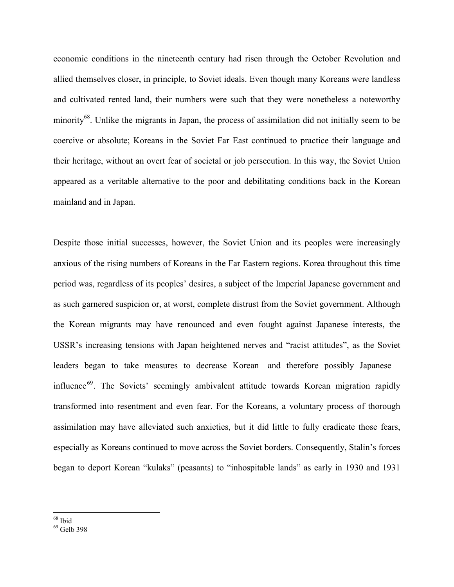economic conditions in the nineteenth century had risen through the October Revolution and allied themselves closer, in principle, to Soviet ideals. Even though many Koreans were landless and cultivated rented land, their numbers were such that they were nonetheless a noteworthy minority<sup>68</sup>. Unlike the migrants in Japan, the process of assimilation did not initially seem to be coercive or absolute; Koreans in the Soviet Far East continued to practice their language and their heritage, without an overt fear of societal or job persecution. In this way, the Soviet Union appeared as a veritable alternative to the poor and debilitating conditions back in the Korean mainland and in Japan.

Despite those initial successes, however, the Soviet Union and its peoples were increasingly anxious of the rising numbers of Koreans in the Far Eastern regions. Korea throughout this time period was, regardless of its peoples' desires, a subject of the Imperial Japanese government and as such garnered suspicion or, at worst, complete distrust from the Soviet government. Although the Korean migrants may have renounced and even fought against Japanese interests, the USSR's increasing tensions with Japan heightened nerves and "racist attitudes", as the Soviet leaders began to take measures to decrease Korean—and therefore possibly Japanese influence<sup>69</sup>. The Soviets' seemingly ambivalent attitude towards Korean migration rapidly transformed into resentment and even fear. For the Koreans, a voluntary process of thorough assimilation may have alleviated such anxieties, but it did little to fully eradicate those fears, especially as Koreans continued to move across the Soviet borders. Consequently, Stalin's forces began to deport Korean "kulaks" (peasants) to "inhospitable lands" as early in 1930 and 1931

 <sup>68</sup> Ibid

<sup>&</sup>lt;sup>69</sup> Gelb 398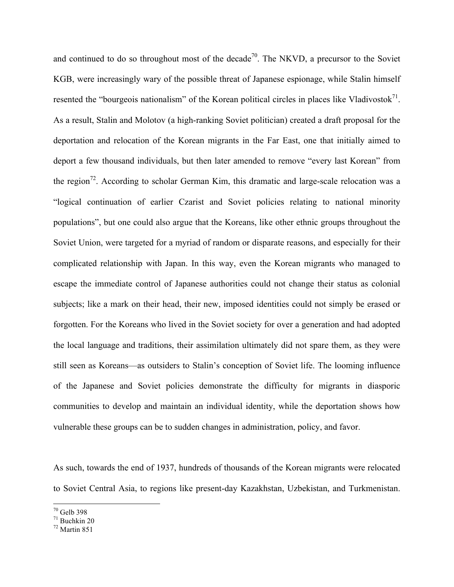and continued to do so throughout most of the decade<sup>70</sup>. The NKVD, a precursor to the Soviet KGB, were increasingly wary of the possible threat of Japanese espionage, while Stalin himself resented the "bourgeois nationalism" of the Korean political circles in places like Vladivostok $^{71}$ . As a result, Stalin and Molotov (a high-ranking Soviet politician) created a draft proposal for the deportation and relocation of the Korean migrants in the Far East, one that initially aimed to deport a few thousand individuals, but then later amended to remove "every last Korean" from the region<sup>72</sup>. According to scholar German Kim, this dramatic and large-scale relocation was a "logical continuation of earlier Czarist and Soviet policies relating to national minority populations", but one could also argue that the Koreans, like other ethnic groups throughout the Soviet Union, were targeted for a myriad of random or disparate reasons, and especially for their complicated relationship with Japan. In this way, even the Korean migrants who managed to escape the immediate control of Japanese authorities could not change their status as colonial subjects; like a mark on their head, their new, imposed identities could not simply be erased or forgotten. For the Koreans who lived in the Soviet society for over a generation and had adopted the local language and traditions, their assimilation ultimately did not spare them, as they were still seen as Koreans—as outsiders to Stalin's conception of Soviet life. The looming influence of the Japanese and Soviet policies demonstrate the difficulty for migrants in diasporic communities to develop and maintain an individual identity, while the deportation shows how vulnerable these groups can be to sudden changes in administration, policy, and favor.

As such, towards the end of 1937, hundreds of thousands of the Korean migrants were relocated to Soviet Central Asia, to regions like present-day Kazakhstan, Uzbekistan, and Turkmenistan.

<sup>&</sup>lt;sup>70</sup> Gelb 398

 $71$  Buchkin 20

 $72$  Martin 851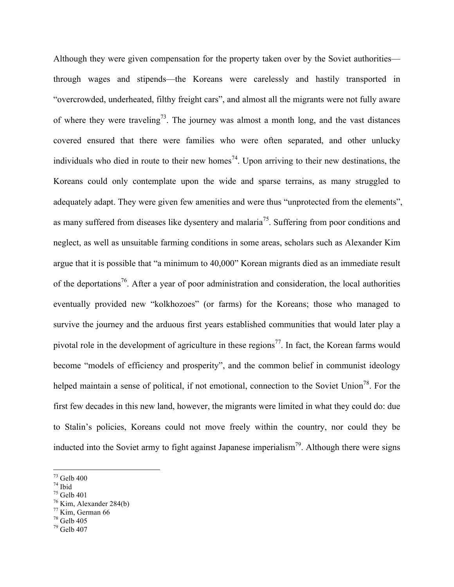Although they were given compensation for the property taken over by the Soviet authorities through wages and stipends—the Koreans were carelessly and hastily transported in "overcrowded, underheated, filthy freight cars", and almost all the migrants were not fully aware of where they were traveling<sup>73</sup>. The journey was almost a month long, and the vast distances covered ensured that there were families who were often separated, and other unlucky individuals who died in route to their new homes<sup>74</sup>. Upon arriving to their new destinations, the Koreans could only contemplate upon the wide and sparse terrains, as many struggled to adequately adapt. They were given few amenities and were thus "unprotected from the elements", as many suffered from diseases like dysentery and malaria<sup>75</sup>. Suffering from poor conditions and neglect, as well as unsuitable farming conditions in some areas, scholars such as Alexander Kim argue that it is possible that "a minimum to 40,000" Korean migrants died as an immediate result of the deportations<sup>76</sup>. After a year of poor administration and consideration, the local authorities eventually provided new "kolkhozoes" (or farms) for the Koreans; those who managed to survive the journey and the arduous first years established communities that would later play a pivotal role in the development of agriculture in these regions<sup>77</sup>. In fact, the Korean farms would become "models of efficiency and prosperity", and the common belief in communist ideology helped maintain a sense of political, if not emotional, connection to the Soviet Union<sup>78</sup>. For the first few decades in this new land, however, the migrants were limited in what they could do: due to Stalin's policies, Koreans could not move freely within the country, nor could they be inducted into the Soviet army to fight against Japanese imperialism<sup>79</sup>. Although there were signs

- $75$  Gelb 401
- $76$  Kim, Alexander 284(b)

 $78$  Gelb 405

 <sup>73</sup> Gelb 400

 $74$  Ibid

 $77$  Kim, German 66

 $79$  Gelb 407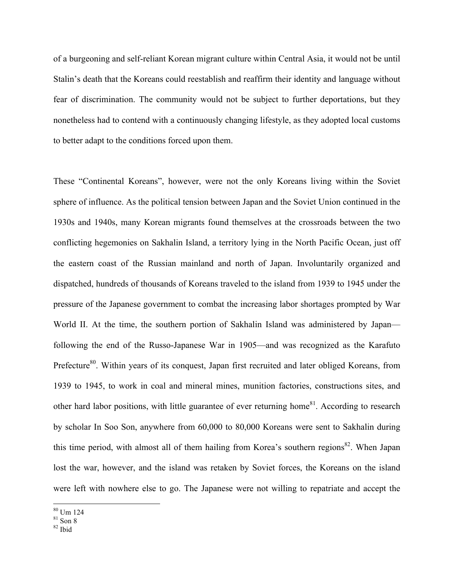of a burgeoning and self-reliant Korean migrant culture within Central Asia, it would not be until Stalin's death that the Koreans could reestablish and reaffirm their identity and language without fear of discrimination. The community would not be subject to further deportations, but they nonetheless had to contend with a continuously changing lifestyle, as they adopted local customs to better adapt to the conditions forced upon them.

These "Continental Koreans", however, were not the only Koreans living within the Soviet sphere of influence. As the political tension between Japan and the Soviet Union continued in the 1930s and 1940s, many Korean migrants found themselves at the crossroads between the two conflicting hegemonies on Sakhalin Island, a territory lying in the North Pacific Ocean, just off the eastern coast of the Russian mainland and north of Japan. Involuntarily organized and dispatched, hundreds of thousands of Koreans traveled to the island from 1939 to 1945 under the pressure of the Japanese government to combat the increasing labor shortages prompted by War World II. At the time, the southern portion of Sakhalin Island was administered by Japan following the end of the Russo-Japanese War in 1905—and was recognized as the Karafuto Prefecture<sup>80</sup>. Within years of its conquest, Japan first recruited and later obliged Koreans, from 1939 to 1945, to work in coal and mineral mines, munition factories, constructions sites, and other hard labor positions, with little guarantee of ever returning home<sup>81</sup>. According to research by scholar In Soo Son, anywhere from 60,000 to 80,000 Koreans were sent to Sakhalin during this time period, with almost all of them hailing from Korea's southern regions<sup>82</sup>. When Japan lost the war, however, and the island was retaken by Soviet forces, the Koreans on the island were left with nowhere else to go. The Japanese were not willing to repatriate and accept the

 $rac{80}{10}$  Um 124

 $82$  Ibid

 $81$  Son  $8$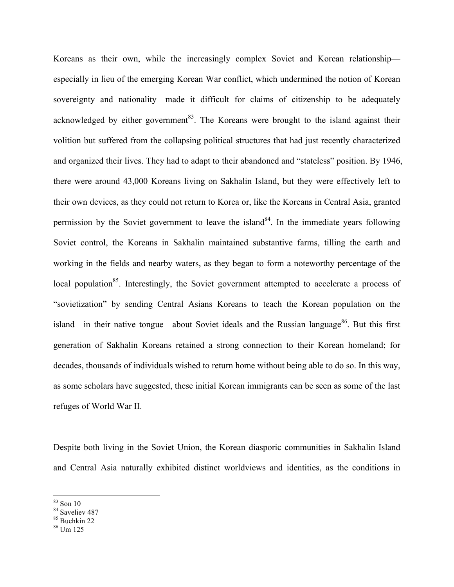Koreans as their own, while the increasingly complex Soviet and Korean relationship especially in lieu of the emerging Korean War conflict, which undermined the notion of Korean sovereignty and nationality—made it difficult for claims of citizenship to be adequately acknowledged by either government<sup>83</sup>. The Koreans were brought to the island against their volition but suffered from the collapsing political structures that had just recently characterized and organized their lives. They had to adapt to their abandoned and "stateless" position. By 1946, there were around 43,000 Koreans living on Sakhalin Island, but they were effectively left to their own devices, as they could not return to Korea or, like the Koreans in Central Asia, granted permission by the Soviet government to leave the island<sup>84</sup>. In the immediate years following Soviet control, the Koreans in Sakhalin maintained substantive farms, tilling the earth and working in the fields and nearby waters, as they began to form a noteworthy percentage of the local population<sup>85</sup>. Interestingly, the Soviet government attempted to accelerate a process of "sovietization" by sending Central Asians Koreans to teach the Korean population on the island—in their native tongue—about Soviet ideals and the Russian language $86$ . But this first generation of Sakhalin Koreans retained a strong connection to their Korean homeland; for decades, thousands of individuals wished to return home without being able to do so. In this way, as some scholars have suggested, these initial Korean immigrants can be seen as some of the last refuges of World War II.

Despite both living in the Soviet Union, the Korean diasporic communities in Sakhalin Island and Central Asia naturally exhibited distinct worldviews and identities, as the conditions in

 $\frac{83}{10}$  Son 10

<sup>&</sup>lt;sup>84</sup> Saveliev 487

<sup>85</sup> Buchkin 22

 $86$  Um 125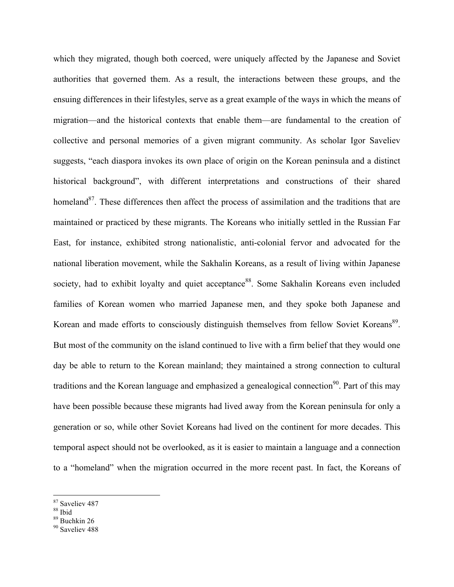which they migrated, though both coerced, were uniquely affected by the Japanese and Soviet authorities that governed them. As a result, the interactions between these groups, and the ensuing differences in their lifestyles, serve as a great example of the ways in which the means of migration—and the historical contexts that enable them—are fundamental to the creation of collective and personal memories of a given migrant community. As scholar Igor Saveliev suggests, "each diaspora invokes its own place of origin on the Korean peninsula and a distinct historical background", with different interpretations and constructions of their shared homeland<sup>87</sup>. These differences then affect the process of assimilation and the traditions that are maintained or practiced by these migrants. The Koreans who initially settled in the Russian Far East, for instance, exhibited strong nationalistic, anti-colonial fervor and advocated for the national liberation movement, while the Sakhalin Koreans, as a result of living within Japanese society, had to exhibit loyalty and quiet acceptance<sup>88</sup>. Some Sakhalin Koreans even included families of Korean women who married Japanese men, and they spoke both Japanese and Korean and made efforts to consciously distinguish themselves from fellow Soviet Koreans<sup>89</sup>. But most of the community on the island continued to live with a firm belief that they would one day be able to return to the Korean mainland; they maintained a strong connection to cultural traditions and the Korean language and emphasized a genealogical connection<sup>90</sup>. Part of this may have been possible because these migrants had lived away from the Korean peninsula for only a generation or so, while other Soviet Koreans had lived on the continent for more decades. This temporal aspect should not be overlooked, as it is easier to maintain a language and a connection to a "homeland" when the migration occurred in the more recent past. In fact, the Koreans of

<sup>&</sup>lt;sup>87</sup> Saveliev 487

<sup>88</sup> Ibid

 $89$  Buchkin 26

<sup>&</sup>lt;sup>90</sup> Saveliev 488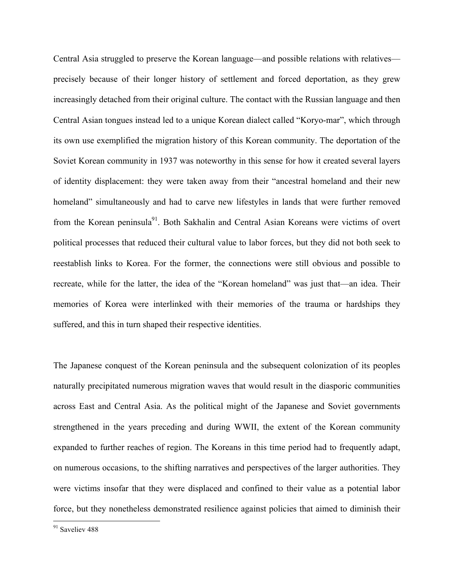Central Asia struggled to preserve the Korean language—and possible relations with relatives precisely because of their longer history of settlement and forced deportation, as they grew increasingly detached from their original culture. The contact with the Russian language and then Central Asian tongues instead led to a unique Korean dialect called "Koryo-mar", which through its own use exemplified the migration history of this Korean community. The deportation of the Soviet Korean community in 1937 was noteworthy in this sense for how it created several layers of identity displacement: they were taken away from their "ancestral homeland and their new homeland" simultaneously and had to carve new lifestyles in lands that were further removed from the Korean peninsula<sup>91</sup>. Both Sakhalin and Central Asian Koreans were victims of overt political processes that reduced their cultural value to labor forces, but they did not both seek to reestablish links to Korea. For the former, the connections were still obvious and possible to recreate, while for the latter, the idea of the "Korean homeland" was just that—an idea. Their memories of Korea were interlinked with their memories of the trauma or hardships they suffered, and this in turn shaped their respective identities.

The Japanese conquest of the Korean peninsula and the subsequent colonization of its peoples naturally precipitated numerous migration waves that would result in the diasporic communities across East and Central Asia. As the political might of the Japanese and Soviet governments strengthened in the years preceding and during WWII, the extent of the Korean community expanded to further reaches of region. The Koreans in this time period had to frequently adapt, on numerous occasions, to the shifting narratives and perspectives of the larger authorities. They were victims insofar that they were displaced and confined to their value as a potential labor force, but they nonetheless demonstrated resilience against policies that aimed to diminish their

<sup>91</sup> Saveliev 488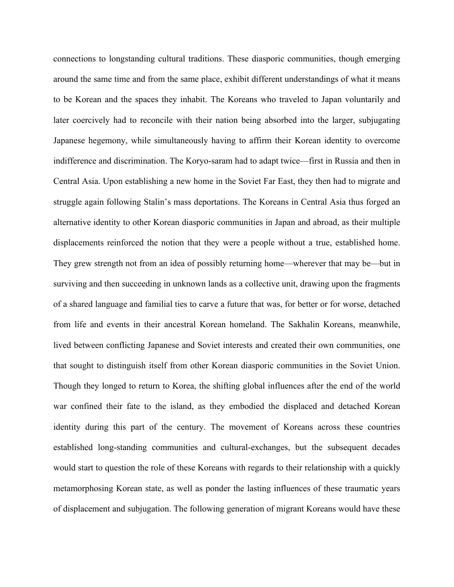connections to longstanding cultural traditions. These diasporic communities, though emerging around the same time and from the same place, exhibit different understandings of what it means to be Korean and the spaces they inhabit. The Koreans who traveled to Japan voluntarily and later coercively had to reconcile with their nation being absorbed into the larger, subjugating Japanese hegemony, while simultaneously having to affirm their Korean identity to overcome indifference and discrimination. The Koryo-saram had to adapt twice—first in Russia and then in Central Asia. Upon establishing a new home in the Soviet Far East, they then had to migrate and struggle again following Stalin's mass deportations. The Koreans in Central Asia thus forged an alternative identity to other Korean diasporic communities in Japan and abroad, as their multiple displacements reinforced the notion that they were a people without a true, established home. They grew strength not from an idea of possibly returning home—wherever that may be—but in surviving and then succeeding in unknown lands as a collective unit, drawing upon the fragments of a shared language and familial ties to carve a future that was, for better or for worse, detached from life and events in their ancestral Korean homeland. The Sakhalin Koreans, meanwhile, lived between conflicting Japanese and Soviet interests and created their own communities, one that sought to distinguish itself from other Korean diasporic communities in the Soviet Union. Though they longed to return to Korea, the shifting global influences after the end of the world war confined their fate to the island, as they embodied the displaced and detached Korean identity during this part of the century. The movement of Koreans across these countries established long-standing communities and cultural-exchanges, but the subsequent decades would start to question the role of these Koreans with regards to their relationship with a quickly metamorphosing Korean state, as well as ponder the lasting influences of these traumatic years of displacement and subjugation. The following generation of migrant Koreans would have these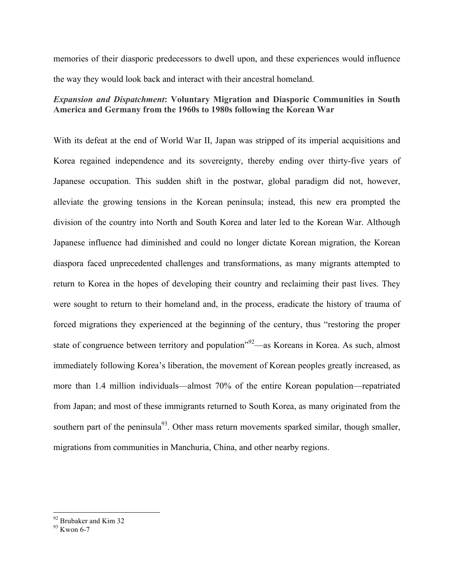memories of their diasporic predecessors to dwell upon, and these experiences would influence the way they would look back and interact with their ancestral homeland.

## *Expansion and Dispatchment***: Voluntary Migration and Diasporic Communities in South America and Germany from the 1960s to 1980s following the Korean War**

With its defeat at the end of World War II, Japan was stripped of its imperial acquisitions and Korea regained independence and its sovereignty, thereby ending over thirty-five years of Japanese occupation. This sudden shift in the postwar, global paradigm did not, however, alleviate the growing tensions in the Korean peninsula; instead, this new era prompted the division of the country into North and South Korea and later led to the Korean War. Although Japanese influence had diminished and could no longer dictate Korean migration, the Korean diaspora faced unprecedented challenges and transformations, as many migrants attempted to return to Korea in the hopes of developing their country and reclaiming their past lives. They were sought to return to their homeland and, in the process, eradicate the history of trauma of forced migrations they experienced at the beginning of the century, thus "restoring the proper state of congruence between territory and population<sup>"92</sup>—as Koreans in Korea. As such, almost immediately following Korea's liberation, the movement of Korean peoples greatly increased, as more than 1.4 million individuals—almost 70% of the entire Korean population—repatriated from Japan; and most of these immigrants returned to South Korea, as many originated from the southern part of the peninsula<sup>93</sup>. Other mass return movements sparked similar, though smaller, migrations from communities in Manchuria, China, and other nearby regions.

 $92$  Brubaker and Kim 32

<sup>93</sup> Kwon 6-7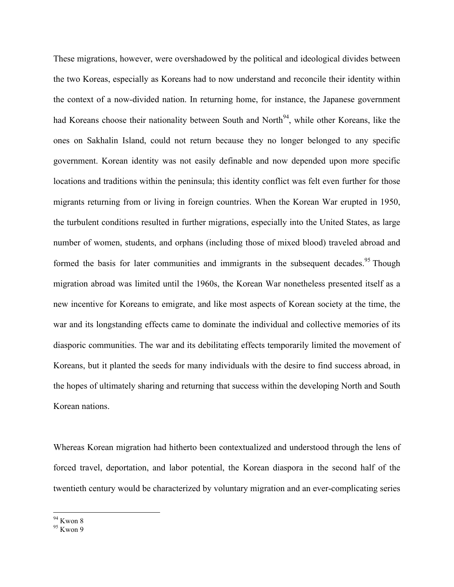These migrations, however, were overshadowed by the political and ideological divides between the two Koreas, especially as Koreans had to now understand and reconcile their identity within the context of a now-divided nation. In returning home, for instance, the Japanese government had Koreans choose their nationality between South and North<sup>94</sup>, while other Koreans, like the ones on Sakhalin Island, could not return because they no longer belonged to any specific government. Korean identity was not easily definable and now depended upon more specific locations and traditions within the peninsula; this identity conflict was felt even further for those migrants returning from or living in foreign countries. When the Korean War erupted in 1950, the turbulent conditions resulted in further migrations, especially into the United States, as large number of women, students, and orphans (including those of mixed blood) traveled abroad and formed the basis for later communities and immigrants in the subsequent decades.<sup>95</sup> Though migration abroad was limited until the 1960s, the Korean War nonetheless presented itself as a new incentive for Koreans to emigrate, and like most aspects of Korean society at the time, the war and its longstanding effects came to dominate the individual and collective memories of its diasporic communities. The war and its debilitating effects temporarily limited the movement of Koreans, but it planted the seeds for many individuals with the desire to find success abroad, in the hopes of ultimately sharing and returning that success within the developing North and South Korean nations.

Whereas Korean migration had hitherto been contextualized and understood through the lens of forced travel, deportation, and labor potential, the Korean diaspora in the second half of the twentieth century would be characterized by voluntary migration and an ever-complicating series

 $\frac{94}{95}$  Kwon 8<br> $\frac{95}{95}$  Kwon 9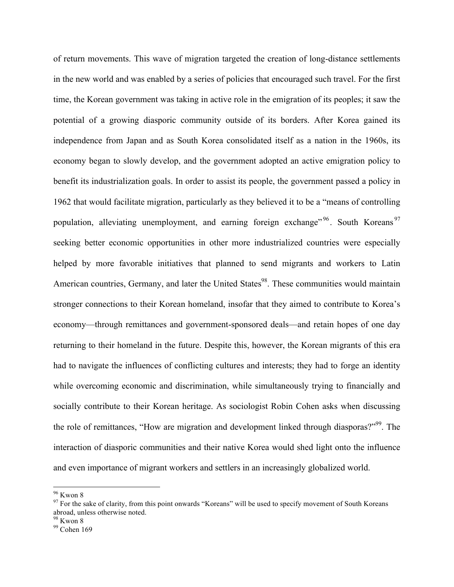of return movements. This wave of migration targeted the creation of long-distance settlements in the new world and was enabled by a series of policies that encouraged such travel. For the first time, the Korean government was taking in active role in the emigration of its peoples; it saw the potential of a growing diasporic community outside of its borders. After Korea gained its independence from Japan and as South Korea consolidated itself as a nation in the 1960s, its economy began to slowly develop, and the government adopted an active emigration policy to benefit its industrialization goals. In order to assist its people, the government passed a policy in 1962 that would facilitate migration, particularly as they believed it to be a "means of controlling population, alleviating unemployment, and earning foreign exchange"<sup>96</sup>. South Koreans<sup>97</sup> seeking better economic opportunities in other more industrialized countries were especially helped by more favorable initiatives that planned to send migrants and workers to Latin American countries, Germany, and later the United States<sup>98</sup>. These communities would maintain stronger connections to their Korean homeland, insofar that they aimed to contribute to Korea's economy—through remittances and government-sponsored deals—and retain hopes of one day returning to their homeland in the future. Despite this, however, the Korean migrants of this era had to navigate the influences of conflicting cultures and interests; they had to forge an identity while overcoming economic and discrimination, while simultaneously trying to financially and socially contribute to their Korean heritage. As sociologist Robin Cohen asks when discussing the role of remittances, "How are migration and development linked through diasporas?"<sup>99</sup>. The interaction of diasporic communities and their native Korea would shed light onto the influence and even importance of migrant workers and settlers in an increasingly globalized world.

 $96$  Kwon 8

 $97$  For the sake of clarity, from this point onwards "Koreans" will be used to specify movement of South Koreans abroad, unless otherwise noted.

 $98$  Kwon 8

<sup>&</sup>lt;sup>99</sup> Cohen 169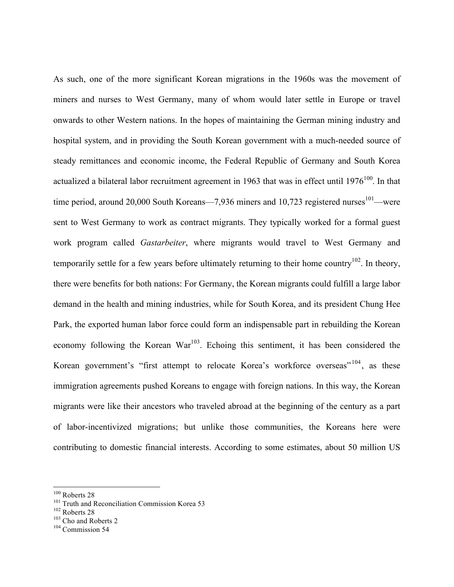As such, one of the more significant Korean migrations in the 1960s was the movement of miners and nurses to West Germany, many of whom would later settle in Europe or travel onwards to other Western nations. In the hopes of maintaining the German mining industry and hospital system, and in providing the South Korean government with a much-needed source of steady remittances and economic income, the Federal Republic of Germany and South Korea actualized a bilateral labor recruitment agreement in 1963 that was in effect until  $1976^{100}$ . In that time period, around 20,000 South Koreans—7,936 miners and 10,723 registered nurses $101$ —were sent to West Germany to work as contract migrants. They typically worked for a formal guest work program called *Gastarbeiter*, where migrants would travel to West Germany and temporarily settle for a few years before ultimately returning to their home country<sup>102</sup>. In theory, there were benefits for both nations: For Germany, the Korean migrants could fulfill a large labor demand in the health and mining industries, while for South Korea, and its president Chung Hee Park, the exported human labor force could form an indispensable part in rebuilding the Korean economy following the Korean War<sup>103</sup>. Echoing this sentiment, it has been considered the Korean government's "first attempt to relocate Korea's workforce overseas"<sup>104</sup>, as these immigration agreements pushed Koreans to engage with foreign nations. In this way, the Korean migrants were like their ancestors who traveled abroad at the beginning of the century as a part of labor-incentivized migrations; but unlike those communities, the Koreans here were contributing to domestic financial interests. According to some estimates, about 50 million US

<sup>&</sup>lt;sup>100</sup> Roberts 28<br><sup>101</sup> Truth and Reconciliation Commission Korea 53<br><sup>102</sup> Roberts 28<br><sup>103</sup> Cho and Roberts 2<br><sup>104</sup> Commission 54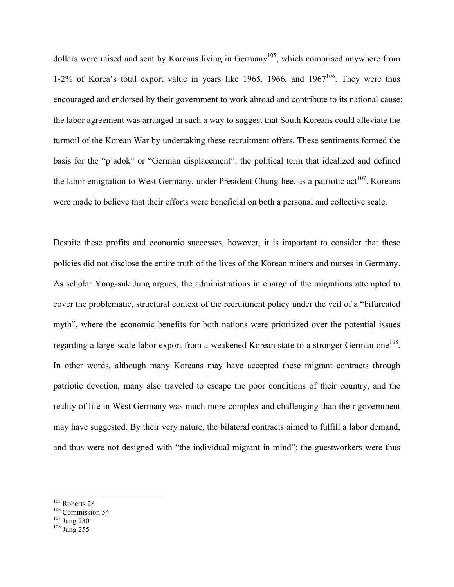dollars were raised and sent by Koreans living in Germany<sup>105</sup>, which comprised anywhere from 1-2% of Korea's total export value in years like 1965, 1966, and  $1967^{106}$ . They were thus encouraged and endorsed by their government to work abroad and contribute to its national cause; the labor agreement was arranged in such a way to suggest that South Koreans could alleviate the turmoil of the Korean War by undertaking these recruitment offers. These sentiments formed the basis for the "p'adok" or "German displacement": the political term that idealized and defined the labor emigration to West Germany, under President Chung-hee, as a patriotic  $\arctan 107$ . Koreans were made to believe that their efforts were beneficial on both a personal and collective scale.

Despite these profits and economic successes, however, it is important to consider that these policies did not disclose the entire truth of the lives of the Korean miners and nurses in Germany. As scholar Yong-suk Jung argues, the administrations in charge of the migrations attempted to cover the problematic, structural context of the recruitment policy under the veil of a "bifurcated myth", where the economic benefits for both nations were prioritized over the potential issues regarding a large-scale labor export from a weakened Korean state to a stronger German one<sup>108</sup>. In other words, although many Koreans may have accepted these migrant contracts through patriotic devotion, many also traveled to escape the poor conditions of their country, and the reality of life in West Germany was much more complex and challenging than their government may have suggested. By their very nature, the bilateral contracts aimed to fulfill a labor demand, and thus were not designed with "the individual migrant in mind"; the guestworkers were thus

- 
- 

<sup>&</sup>lt;sup>105</sup> Roberts 28<br><sup>106</sup> Commission 54<br><sup>107</sup> Jung 230<br><sup>108</sup> Jung 255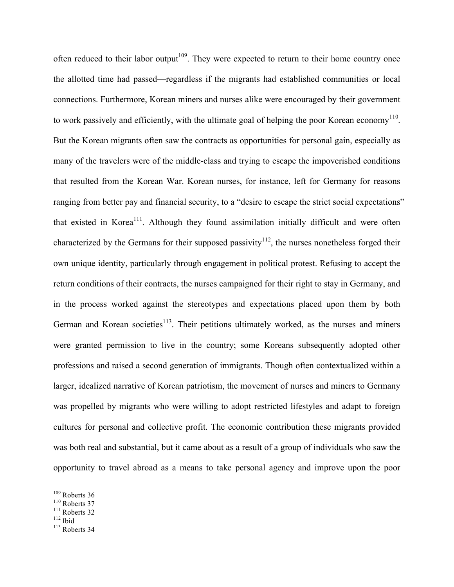often reduced to their labor output<sup>109</sup>. They were expected to return to their home country once the allotted time had passed—regardless if the migrants had established communities or local connections. Furthermore, Korean miners and nurses alike were encouraged by their government to work passively and efficiently, with the ultimate goal of helping the poor Korean economy<sup>110</sup>. But the Korean migrants often saw the contracts as opportunities for personal gain, especially as many of the travelers were of the middle-class and trying to escape the impoverished conditions that resulted from the Korean War. Korean nurses, for instance, left for Germany for reasons ranging from better pay and financial security, to a "desire to escape the strict social expectations" that existed in Korea<sup>111</sup>. Although they found assimilation initially difficult and were often characterized by the Germans for their supposed passivity<sup>112</sup>, the nurses nonetheless forged their own unique identity, particularly through engagement in political protest. Refusing to accept the return conditions of their contracts, the nurses campaigned for their right to stay in Germany, and in the process worked against the stereotypes and expectations placed upon them by both German and Korean societies<sup>113</sup>. Their petitions ultimately worked, as the nurses and miners were granted permission to live in the country; some Koreans subsequently adopted other professions and raised a second generation of immigrants. Though often contextualized within a larger, idealized narrative of Korean patriotism, the movement of nurses and miners to Germany was propelled by migrants who were willing to adopt restricted lifestyles and adapt to foreign cultures for personal and collective profit. The economic contribution these migrants provided was both real and substantial, but it came about as a result of a group of individuals who saw the opportunity to travel abroad as a means to take personal agency and improve upon the poor

<sup>&</sup>lt;sup>109</sup> Roberts 36<br><sup>110</sup> Roberts 37<br><sup>111</sup> Roberts 32<br><sup>113</sup> Roberts 34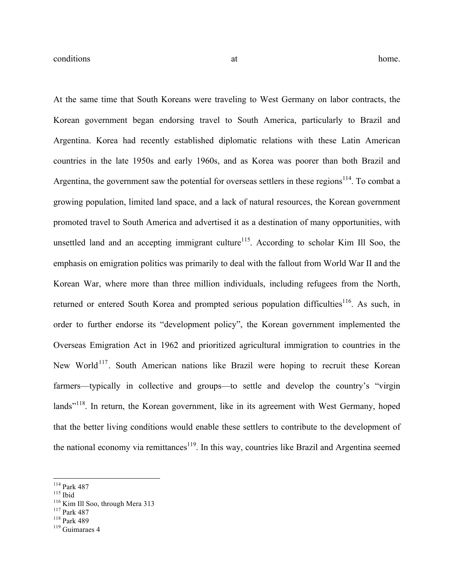At the same time that South Koreans were traveling to West Germany on labor contracts, the Korean government began endorsing travel to South America, particularly to Brazil and Argentina. Korea had recently established diplomatic relations with these Latin American countries in the late 1950s and early 1960s, and as Korea was poorer than both Brazil and Argentina, the government saw the potential for overseas settlers in these regions<sup>114</sup>. To combat a growing population, limited land space, and a lack of natural resources, the Korean government promoted travel to South America and advertised it as a destination of many opportunities, with unsettled land and an accepting immigrant culture $115$ . According to scholar Kim Ill Soo, the emphasis on emigration politics was primarily to deal with the fallout from World War II and the Korean War, where more than three million individuals, including refugees from the North, returned or entered South Korea and prompted serious population difficulties<sup>116</sup>. As such, in order to further endorse its "development policy", the Korean government implemented the Overseas Emigration Act in 1962 and prioritized agricultural immigration to countries in the New World<sup>117</sup>. South American nations like Brazil were hoping to recruit these Korean farmers—typically in collective and groups—to settle and develop the country's "virgin lands"<sup>118</sup>. In return, the Korean government, like in its agreement with West Germany, hoped that the better living conditions would enable these settlers to contribute to the development of the national economy via remittances<sup>119</sup>. In this way, countries like Brazil and Argentina seemed

<sup>&</sup>lt;sup>114</sup> Park 487<br>
<sup>116</sup> Kim Ill Soo, through Mera 313<br>
<sup>117</sup> Park 487<br>
<sup>118</sup> Park 489<br>
<sup>119</sup> Guimaraes 4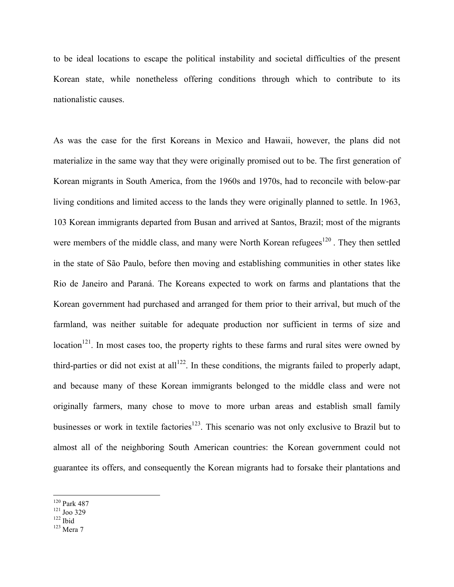to be ideal locations to escape the political instability and societal difficulties of the present Korean state, while nonetheless offering conditions through which to contribute to its nationalistic causes.

As was the case for the first Koreans in Mexico and Hawaii, however, the plans did not materialize in the same way that they were originally promised out to be. The first generation of Korean migrants in South America, from the 1960s and 1970s, had to reconcile with below-par living conditions and limited access to the lands they were originally planned to settle. In 1963, 103 Korean immigrants departed from Busan and arrived at Santos, Brazil; most of the migrants were members of the middle class, and many were North Korean refugees<sup>120</sup>. They then settled in the state of São Paulo, before then moving and establishing communities in other states like Rio de Janeiro and Paraná. The Koreans expected to work on farms and plantations that the Korean government had purchased and arranged for them prior to their arrival, but much of the farmland, was neither suitable for adequate production nor sufficient in terms of size and location<sup>121</sup>. In most cases too, the property rights to these farms and rural sites were owned by third-parties or did not exist at all<sup>122</sup>. In these conditions, the migrants failed to properly adapt, and because many of these Korean immigrants belonged to the middle class and were not originally farmers, many chose to move to more urban areas and establish small family businesses or work in textile factories<sup>123</sup>. This scenario was not only exclusive to Brazil but to almost all of the neighboring South American countries: the Korean government could not guarantee its offers, and consequently the Korean migrants had to forsake their plantations and

<sup>&</sup>lt;sup>120</sup> Park 487<br><sup>121</sup> Joo 329<br><sup>122</sup> Ibid<br><sup>123</sup> Mera 7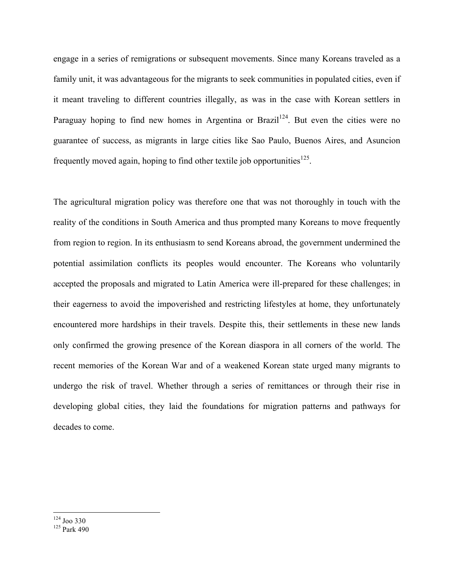engage in a series of remigrations or subsequent movements. Since many Koreans traveled as a family unit, it was advantageous for the migrants to seek communities in populated cities, even if it meant traveling to different countries illegally, as was in the case with Korean settlers in Paraguay hoping to find new homes in Argentina or Brazil<sup>124</sup>. But even the cities were no guarantee of success, as migrants in large cities like Sao Paulo, Buenos Aires, and Asuncion frequently moved again, hoping to find other textile job opportunities<sup>125</sup>.

The agricultural migration policy was therefore one that was not thoroughly in touch with the reality of the conditions in South America and thus prompted many Koreans to move frequently from region to region. In its enthusiasm to send Koreans abroad, the government undermined the potential assimilation conflicts its peoples would encounter. The Koreans who voluntarily accepted the proposals and migrated to Latin America were ill-prepared for these challenges; in their eagerness to avoid the impoverished and restricting lifestyles at home, they unfortunately encountered more hardships in their travels. Despite this, their settlements in these new lands only confirmed the growing presence of the Korean diaspora in all corners of the world. The recent memories of the Korean War and of a weakened Korean state urged many migrants to undergo the risk of travel. Whether through a series of remittances or through their rise in developing global cities, they laid the foundations for migration patterns and pathways for decades to come.

 $\frac{124}{125}$  Joo 330<br> $\frac{125}{9}$  Park 490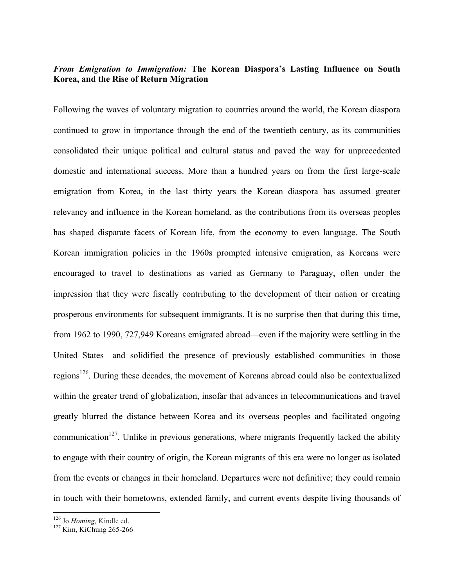## *From Emigration to Immigration:* **The Korean Diaspora's Lasting Influence on South Korea, and the Rise of Return Migration**

Following the waves of voluntary migration to countries around the world, the Korean diaspora continued to grow in importance through the end of the twentieth century, as its communities consolidated their unique political and cultural status and paved the way for unprecedented domestic and international success. More than a hundred years on from the first large-scale emigration from Korea, in the last thirty years the Korean diaspora has assumed greater relevancy and influence in the Korean homeland, as the contributions from its overseas peoples has shaped disparate facets of Korean life, from the economy to even language. The South Korean immigration policies in the 1960s prompted intensive emigration, as Koreans were encouraged to travel to destinations as varied as Germany to Paraguay, often under the impression that they were fiscally contributing to the development of their nation or creating prosperous environments for subsequent immigrants. It is no surprise then that during this time, from 1962 to 1990, 727,949 Koreans emigrated abroad—even if the majority were settling in the United States—and solidified the presence of previously established communities in those regions<sup>126</sup>. During these decades, the movement of Koreans abroad could also be contextualized within the greater trend of globalization, insofar that advances in telecommunications and travel greatly blurred the distance between Korea and its overseas peoples and facilitated ongoing communication<sup>127</sup>. Unlike in previous generations, where migrants frequently lacked the ability to engage with their country of origin, the Korean migrants of this era were no longer as isolated from the events or changes in their homeland. Departures were not definitive; they could remain in touch with their hometowns, extended family, and current events despite living thousands of

<sup>&</sup>lt;sup>126</sup> Jo *Homing*, Kindle ed.<br><sup>127</sup> Kim, KiChung 265-266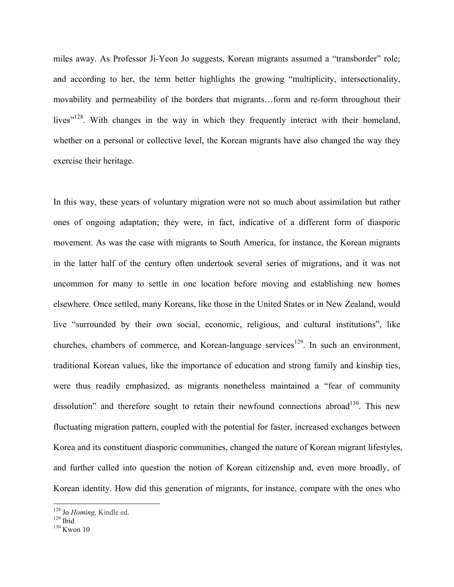miles away. As Professor Ji-Yeon Jo suggests, Korean migrants assumed a "transborder" role; and according to her, the term better highlights the growing "multiplicity, intersectionality, movability and permeability of the borders that migrants…form and re-form throughout their lives"<sup>128</sup>. With changes in the way in which they frequently interact with their homeland, whether on a personal or collective level, the Korean migrants have also changed the way they exercise their heritage.

In this way, these years of voluntary migration were not so much about assimilation but rather ones of ongoing adaptation; they were, in fact, indicative of a different form of diasporic movement. As was the case with migrants to South America, for instance, the Korean migrants in the latter half of the century often undertook several series of migrations, and it was not uncommon for many to settle in one location before moving and establishing new homes elsewhere. Once settled, many Koreans, like those in the United States or in New Zealand, would live "surrounded by their own social, economic, religious, and cultural institutions", like churches, chambers of commerce, and Korean-language services<sup>129</sup>. In such an environment, traditional Korean values, like the importance of education and strong family and kinship ties, were thus readily emphasized, as migrants nonetheless maintained a "fear of community dissolution" and therefore sought to retain their newfound connections abroad<sup>130</sup>. This new fluctuating migration pattern, coupled with the potential for faster, increased exchanges between Korea and its constituent diasporic communities, changed the nature of Korean migrant lifestyles, and further called into question the notion of Korean citizenship and, even more broadly, of Korean identity. How did this generation of migrants, for instance, compare with the ones who

<sup>&</sup>lt;sup>128</sup> Jo *Homing*, Kindle ed.<br><sup>129</sup> Ibid<br><sup>130</sup> Kwon 10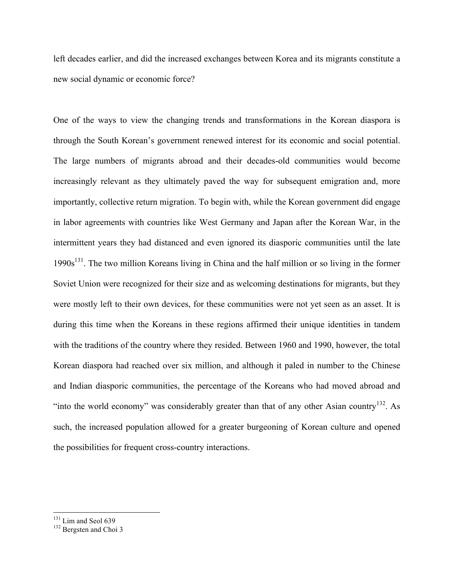left decades earlier, and did the increased exchanges between Korea and its migrants constitute a new social dynamic or economic force?

One of the ways to view the changing trends and transformations in the Korean diaspora is through the South Korean's government renewed interest for its economic and social potential. The large numbers of migrants abroad and their decades-old communities would become increasingly relevant as they ultimately paved the way for subsequent emigration and, more importantly, collective return migration. To begin with, while the Korean government did engage in labor agreements with countries like West Germany and Japan after the Korean War, in the intermittent years they had distanced and even ignored its diasporic communities until the late 1990s<sup>131</sup>. The two million Koreans living in China and the half million or so living in the former Soviet Union were recognized for their size and as welcoming destinations for migrants, but they were mostly left to their own devices, for these communities were not yet seen as an asset. It is during this time when the Koreans in these regions affirmed their unique identities in tandem with the traditions of the country where they resided. Between 1960 and 1990, however, the total Korean diaspora had reached over six million, and although it paled in number to the Chinese and Indian diasporic communities, the percentage of the Koreans who had moved abroad and "into the world economy" was considerably greater than that of any other Asian country<sup>132</sup>. As such, the increased population allowed for a greater burgeoning of Korean culture and opened the possibilities for frequent cross-country interactions.

 $131$  Lim and Seol 639<br> $132$  Bergsten and Choi 3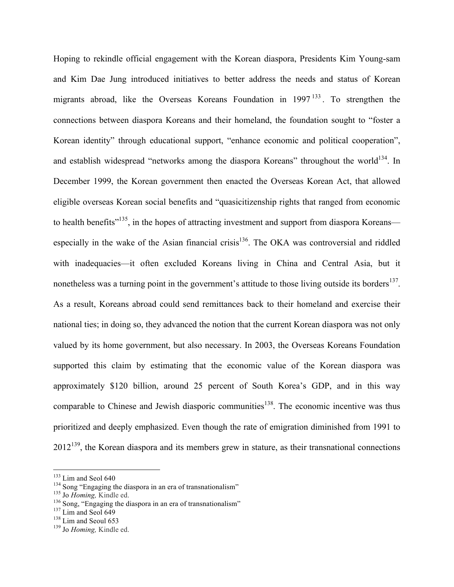Hoping to rekindle official engagement with the Korean diaspora, Presidents Kim Young-sam and Kim Dae Jung introduced initiatives to better address the needs and status of Korean migrants abroad, like the Overseas Koreans Foundation in 1997<sup>133</sup>. To strengthen the connections between diaspora Koreans and their homeland, the foundation sought to "foster a Korean identity" through educational support, "enhance economic and political cooperation", and establish widespread "networks among the diaspora Koreans" throughout the world<sup>134</sup>. In December 1999, the Korean government then enacted the Overseas Korean Act, that allowed eligible overseas Korean social benefits and "quasicitizenship rights that ranged from economic to health benefits"<sup>135</sup>, in the hopes of attracting investment and support from diaspora Koreans especially in the wake of the Asian financial crisis<sup>136</sup>. The OKA was controversial and riddled with inadequacies—it often excluded Koreans living in China and Central Asia, but it nonetheless was a turning point in the government's attitude to those living outside its borders<sup>137</sup>. As a result, Koreans abroad could send remittances back to their homeland and exercise their national ties; in doing so, they advanced the notion that the current Korean diaspora was not only valued by its home government, but also necessary. In 2003, the Overseas Koreans Foundation supported this claim by estimating that the economic value of the Korean diaspora was approximately \$120 billion, around 25 percent of South Korea's GDP, and in this way comparable to Chinese and Jewish diasporic communities<sup>138</sup>. The economic incentive was thus prioritized and deeply emphasized. Even though the rate of emigration diminished from 1991 to  $2012^{139}$ , the Korean diaspora and its members grew in stature, as their transnational connections

<sup>&</sup>lt;sup>133</sup> Lim and Seol 640<br><sup>134</sup> Song "Engaging the diaspora in an era of transnationalism"<br><sup>135</sup> Jo *Homing*, Kindle ed.<br><sup>136</sup> Song, "Engaging the diaspora in an era of transnationalism"<br><sup>137</sup> Lim and Seol 649<br><sup>138</sup> Lim and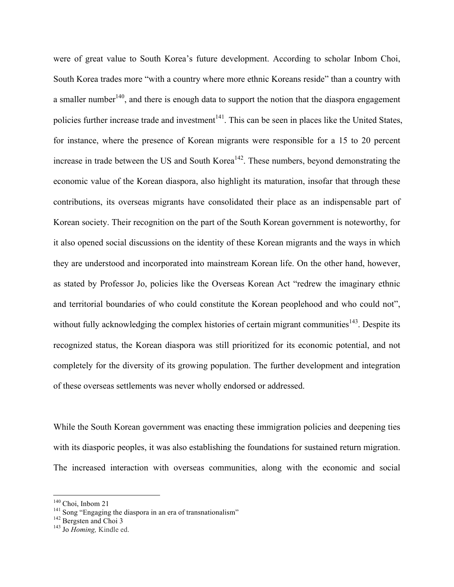were of great value to South Korea's future development. According to scholar Inbom Choi, South Korea trades more "with a country where more ethnic Koreans reside" than a country with a smaller number  $140$ , and there is enough data to support the notion that the diaspora engagement policies further increase trade and investment<sup>141</sup>. This can be seen in places like the United States, for instance, where the presence of Korean migrants were responsible for a 15 to 20 percent increase in trade between the US and South Korea<sup> $142$ </sup>. These numbers, beyond demonstrating the economic value of the Korean diaspora, also highlight its maturation, insofar that through these contributions, its overseas migrants have consolidated their place as an indispensable part of Korean society. Their recognition on the part of the South Korean government is noteworthy, for it also opened social discussions on the identity of these Korean migrants and the ways in which they are understood and incorporated into mainstream Korean life. On the other hand, however, as stated by Professor Jo, policies like the Overseas Korean Act "redrew the imaginary ethnic and territorial boundaries of who could constitute the Korean peoplehood and who could not", without fully acknowledging the complex histories of certain migrant communities<sup>143</sup>. Despite its recognized status, the Korean diaspora was still prioritized for its economic potential, and not completely for the diversity of its growing population. The further development and integration of these overseas settlements was never wholly endorsed or addressed.

While the South Korean government was enacting these immigration policies and deepening ties with its diasporic peoples, it was also establishing the foundations for sustained return migration. The increased interaction with overseas communities, along with the economic and social

<sup>&</sup>lt;sup>140</sup> Choi, Inbom 21<br><sup>141</sup> Song "Engaging the diaspora in an era of transnationalism" <sup>142</sup> Bergsten and Choi 3<br><sup>143</sup> Jo *Homing*, Kindle ed.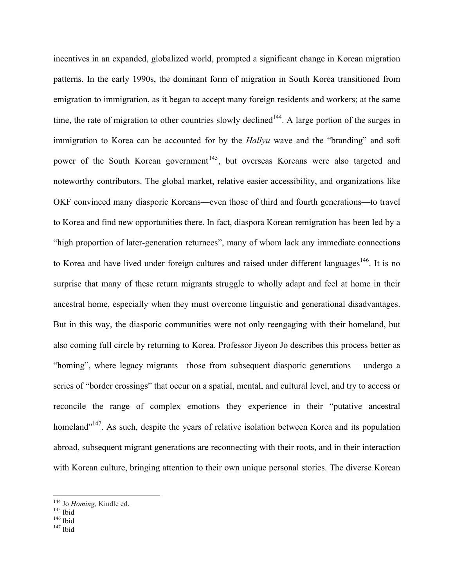incentives in an expanded, globalized world, prompted a significant change in Korean migration patterns. In the early 1990s, the dominant form of migration in South Korea transitioned from emigration to immigration, as it began to accept many foreign residents and workers; at the same time, the rate of migration to other countries slowly declined<sup>144</sup>. A large portion of the surges in immigration to Korea can be accounted for by the *Hallyu* wave and the "branding" and soft power of the South Korean government<sup>145</sup>, but overseas Koreans were also targeted and noteworthy contributors. The global market, relative easier accessibility, and organizations like OKF convinced many diasporic Koreans—even those of third and fourth generations—to travel to Korea and find new opportunities there. In fact, diaspora Korean remigration has been led by a "high proportion of later-generation returnees", many of whom lack any immediate connections to Korea and have lived under foreign cultures and raised under different languages<sup>146</sup>. It is no surprise that many of these return migrants struggle to wholly adapt and feel at home in their ancestral home, especially when they must overcome linguistic and generational disadvantages. But in this way, the diasporic communities were not only reengaging with their homeland, but also coming full circle by returning to Korea. Professor Jiyeon Jo describes this process better as "homing", where legacy migrants—those from subsequent diasporic generations— undergo a series of "border crossings" that occur on a spatial, mental, and cultural level, and try to access or reconcile the range of complex emotions they experience in their "putative ancestral homeland"<sup>147</sup>. As such, despite the years of relative isolation between Korea and its population abroad, subsequent migrant generations are reconnecting with their roots, and in their interaction with Korean culture, bringing attention to their own unique personal stories. The diverse Korean

<sup>&</sup>lt;sup>144</sup> Jo *Homing*, Kindle ed.<br><sup>145</sup> Ibid<br><sup>146</sup> Ibid<br><sup>147</sup> Ibid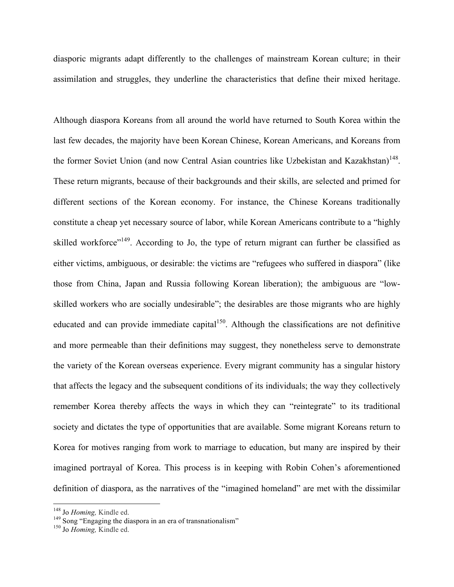diasporic migrants adapt differently to the challenges of mainstream Korean culture; in their assimilation and struggles, they underline the characteristics that define their mixed heritage.

Although diaspora Koreans from all around the world have returned to South Korea within the last few decades, the majority have been Korean Chinese, Korean Americans, and Koreans from the former Soviet Union (and now Central Asian countries like Uzbekistan and Kazakhstan)<sup>148</sup>. These return migrants, because of their backgrounds and their skills, are selected and primed for different sections of the Korean economy. For instance, the Chinese Koreans traditionally constitute a cheap yet necessary source of labor, while Korean Americans contribute to a "highly skilled workforce"<sup>149</sup>. According to Jo, the type of return migrant can further be classified as either victims, ambiguous, or desirable: the victims are "refugees who suffered in diaspora" (like those from China, Japan and Russia following Korean liberation); the ambiguous are "lowskilled workers who are socially undesirable"; the desirables are those migrants who are highly educated and can provide immediate capital<sup>150</sup>. Although the classifications are not definitive and more permeable than their definitions may suggest, they nonetheless serve to demonstrate the variety of the Korean overseas experience. Every migrant community has a singular history that affects the legacy and the subsequent conditions of its individuals; the way they collectively remember Korea thereby affects the ways in which they can "reintegrate" to its traditional society and dictates the type of opportunities that are available. Some migrant Koreans return to Korea for motives ranging from work to marriage to education, but many are inspired by their imagined portrayal of Korea. This process is in keeping with Robin Cohen's aforementioned definition of diaspora, as the narratives of the "imagined homeland" are met with the dissimilar

<sup>&</sup>lt;sup>148</sup> Jo *Homing,* Kindle ed.<br><sup>149</sup> Song "Engaging the diaspora in an era of transnationalism" <sup>150</sup> Jo *Homing*. Kindle ed.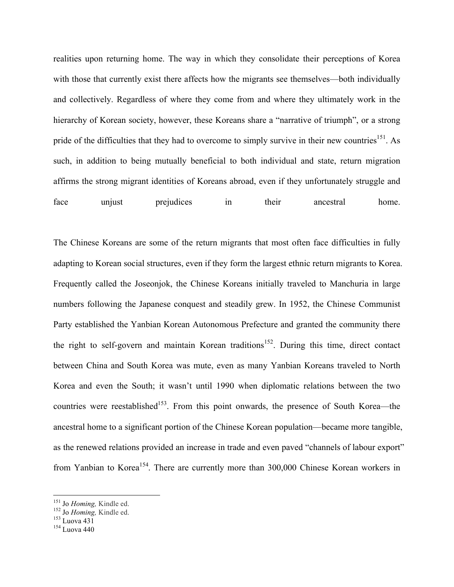realities upon returning home. The way in which they consolidate their perceptions of Korea with those that currently exist there affects how the migrants see themselves—both individually and collectively. Regardless of where they come from and where they ultimately work in the hierarchy of Korean society, however, these Koreans share a "narrative of triumph", or a strong pride of the difficulties that they had to overcome to simply survive in their new countries<sup>151</sup>. As such, in addition to being mutually beneficial to both individual and state, return migration affirms the strong migrant identities of Koreans abroad, even if they unfortunately struggle and face unjust prejudices in their ancestral home.

The Chinese Koreans are some of the return migrants that most often face difficulties in fully adapting to Korean social structures, even if they form the largest ethnic return migrants to Korea. Frequently called the Joseonjok, the Chinese Koreans initially traveled to Manchuria in large numbers following the Japanese conquest and steadily grew. In 1952, the Chinese Communist Party established the Yanbian Korean Autonomous Prefecture and granted the community there the right to self-govern and maintain Korean traditions<sup>152</sup>. During this time, direct contact between China and South Korea was mute, even as many Yanbian Koreans traveled to North Korea and even the South; it wasn't until 1990 when diplomatic relations between the two countries were reestablished<sup>153</sup>. From this point onwards, the presence of South Korea—the ancestral home to a significant portion of the Chinese Korean population—became more tangible, as the renewed relations provided an increase in trade and even paved "channels of labour export" from Yanbian to Korea<sup>154</sup>. There are currently more than 300,000 Chinese Korean workers in

<sup>&</sup>lt;sup>151</sup> Jo *Homing,* Kindle ed.<br><sup>152</sup> Jo *Homing,* Kindle ed.<br><sup>153</sup> Luova 431<br><sup>154</sup> Luova 440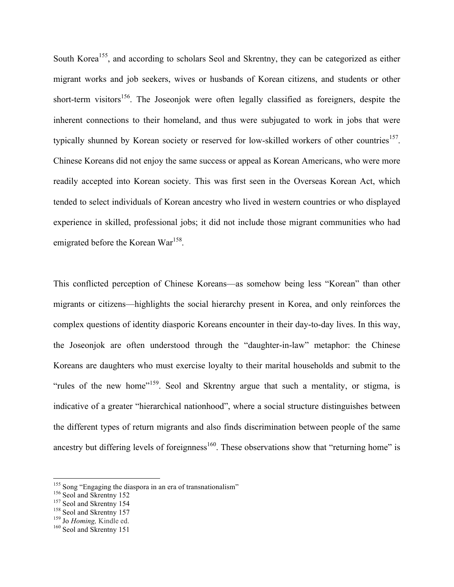South Korea<sup>155</sup>, and according to scholars Seol and Skrentny, they can be categorized as either migrant works and job seekers, wives or husbands of Korean citizens, and students or other short-term visitors<sup>156</sup>. The Joseonjok were often legally classified as foreigners, despite the inherent connections to their homeland, and thus were subjugated to work in jobs that were typically shunned by Korean society or reserved for low-skilled workers of other countries<sup>157</sup>. Chinese Koreans did not enjoy the same success or appeal as Korean Americans, who were more readily accepted into Korean society. This was first seen in the Overseas Korean Act, which tended to select individuals of Korean ancestry who lived in western countries or who displayed experience in skilled, professional jobs; it did not include those migrant communities who had emigrated before the Korean War<sup>158</sup>.

This conflicted perception of Chinese Koreans—as somehow being less "Korean" than other migrants or citizens—highlights the social hierarchy present in Korea, and only reinforces the complex questions of identity diasporic Koreans encounter in their day-to-day lives. In this way, the Joseonjok are often understood through the "daughter-in-law" metaphor: the Chinese Koreans are daughters who must exercise loyalty to their marital households and submit to the "rules of the new home"<sup>159</sup>. Seol and Skrentny argue that such a mentality, or stigma, is indicative of a greater "hierarchical nationhood", where a social structure distinguishes between the different types of return migrants and also finds discrimination between people of the same ancestry but differing levels of foreignness<sup>160</sup>. These observations show that "returning home" is

<sup>&</sup>lt;sup>155</sup> Song "Engaging the diaspora in an era of transnationalism"<br><sup>156</sup> Seol and Skrentny 152<br><sup>157</sup> Seol and Skrentny 157<br><sup>158</sup> Jo *Homing*, Kindle ed.<br><sup>160</sup> Seol and Skrentny 151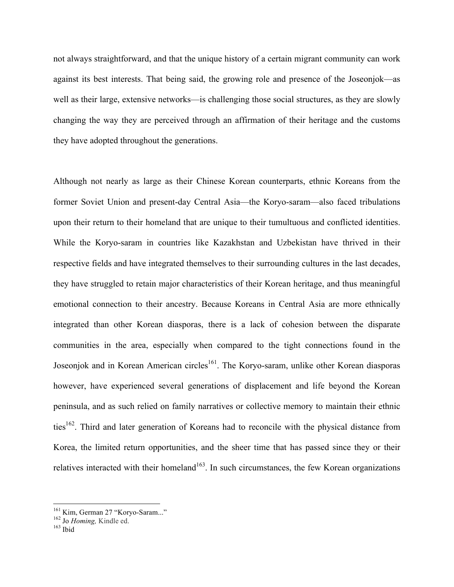not always straightforward, and that the unique history of a certain migrant community can work against its best interests. That being said, the growing role and presence of the Joseonjok—as well as their large, extensive networks—is challenging those social structures, as they are slowly changing the way they are perceived through an affirmation of their heritage and the customs they have adopted throughout the generations.

Although not nearly as large as their Chinese Korean counterparts, ethnic Koreans from the former Soviet Union and present-day Central Asia—the Koryo-saram—also faced tribulations upon their return to their homeland that are unique to their tumultuous and conflicted identities. While the Koryo-saram in countries like Kazakhstan and Uzbekistan have thrived in their respective fields and have integrated themselves to their surrounding cultures in the last decades, they have struggled to retain major characteristics of their Korean heritage, and thus meaningful emotional connection to their ancestry. Because Koreans in Central Asia are more ethnically integrated than other Korean diasporas, there is a lack of cohesion between the disparate communities in the area, especially when compared to the tight connections found in the Joseonjok and in Korean American circles<sup>161</sup>. The Koryo-saram, unlike other Korean diasporas however, have experienced several generations of displacement and life beyond the Korean peninsula, and as such relied on family narratives or collective memory to maintain their ethnic ties<sup>162</sup>. Third and later generation of Koreans had to reconcile with the physical distance from Korea, the limited return opportunities, and the sheer time that has passed since they or their relatives interacted with their homeland<sup>163</sup>. In such circumstances, the few Korean organizations

<sup>&</sup>lt;sup>161</sup> Kim, German 27 "Koryo-Saram..."<br><sup>162</sup> Jo *Homing*, Kindle ed.<br><sup>163</sup> Ibid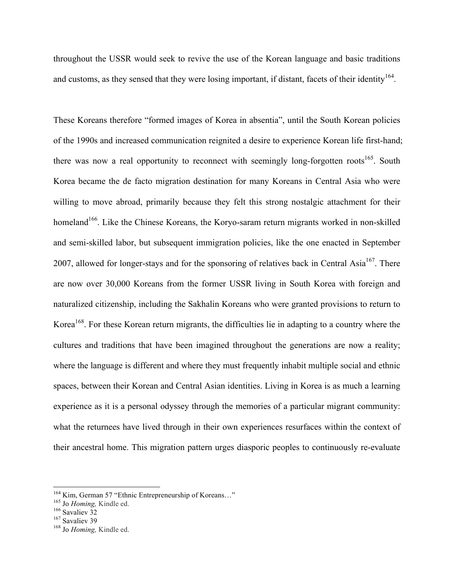throughout the USSR would seek to revive the use of the Korean language and basic traditions and customs, as they sensed that they were losing important, if distant, facets of their identity  $164$ .

These Koreans therefore "formed images of Korea in absentia", until the South Korean policies of the 1990s and increased communication reignited a desire to experience Korean life first-hand; there was now a real opportunity to reconnect with seemingly long-forgotten roots<sup>165</sup>. South Korea became the de facto migration destination for many Koreans in Central Asia who were willing to move abroad, primarily because they felt this strong nostalgic attachment for their homeland<sup>166</sup>. Like the Chinese Koreans, the Koryo-saram return migrants worked in non-skilled and semi-skilled labor, but subsequent immigration policies, like the one enacted in September 2007, allowed for longer-stays and for the sponsoring of relatives back in Central Asia<sup>167</sup>. There are now over 30,000 Koreans from the former USSR living in South Korea with foreign and naturalized citizenship, including the Sakhalin Koreans who were granted provisions to return to Korea<sup>168</sup>. For these Korean return migrants, the difficulties lie in adapting to a country where the cultures and traditions that have been imagined throughout the generations are now a reality; where the language is different and where they must frequently inhabit multiple social and ethnic spaces, between their Korean and Central Asian identities. Living in Korea is as much a learning experience as it is a personal odyssey through the memories of a particular migrant community: what the returnees have lived through in their own experiences resurfaces within the context of their ancestral home. This migration pattern urges diasporic peoples to continuously re-evaluate

<sup>&</sup>lt;sup>164</sup> Kim, German 57 "Ethnic Entrepreneurship of Koreans..."<br><sup>165</sup> Jo *Homing*, Kindle ed.<br><sup>166</sup> Savaliev 32<br><sup>167</sup> Savaliev 39<br><sup>168</sup> Jo *Homing*, Kindle ed.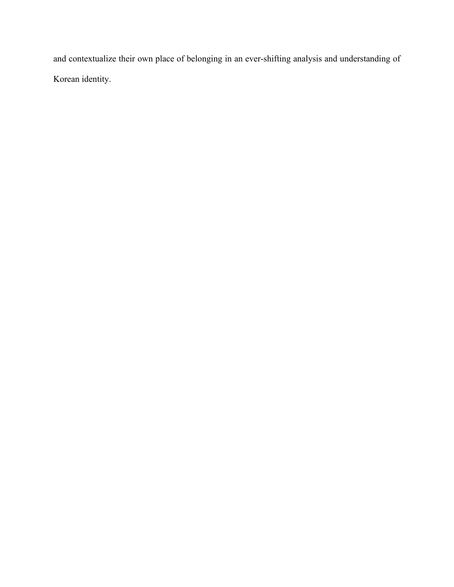and contextualize their own place of belonging in an ever-shifting analysis and understanding of Korean identity.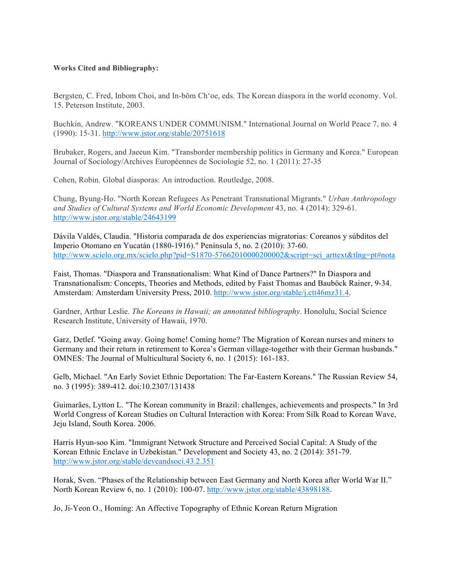#### **Works Cited and Bibliography:**

Bergsten, C. Fred, Inbom Choi, and In-bŏm Chʻoe, eds. The Korean diaspora in the world economy. Vol. 15. Peterson Institute, 2003.

Buchkin, Andrew. "KOREANS UNDER COMMUNISM." International Journal on World Peace 7, no. 4 (1990): 15-31. http://www.jstor.org/stable/20751618

Brubaker, Rogers, and Jaeeun Kim. "Transborder membership politics in Germany and Korea." European Journal of Sociology/Archives Européennes de Sociologie 52, no. 1 (2011): 27-35

Cohen, Robin. Global diasporas: An introduction. Routledge, 2008.

Chung, Byung-Ho. "North Korean Refugees As Penetrant Transnational Migrants." *Urban Anthropology and Studies of Cultural Systems and World Economic Development* 43, no. 4 (2014): 329-61. http://www.jstor.org/stable/24643199

Dávila Valdés, Claudia. "Historia comparada de dos experiencias migratorias: Coreanos y súbditos del Imperio Otomano en Yucatán (1880-1916)." Península 5, no. 2 (2010): 37-60. http://www.scielo.org.mx/scielo.php?pid=S1870-57662010000200002&script=sci\_arttext&tlng=pt#nota

Faist, Thomas. "Diaspora and Transnationalism: What Kind of Dance Partners?" In Diaspora and Transnationalism: Concepts, Theories and Methods, edited by Faist Thomas and Bauböck Rainer, 9-34. Amsterdam: Amsterdam University Press, 2010. http://www.jstor.org/stable/j.ctt46mz31.4.

Gardner, Arthur Leslie. *The Koreans in Hawaii; an annotated bibliography*. Honolulu, Social Science Research Institute, University of Hawaii, 1970.

Garz, Detlef. "Going away. Going home! Coming home? The Migration of Korean nurses and miners to Germany and their return in retirement to Korea's German village-together with their German husbands." OMNES: The Journal of Multicultural Society 6, no. 1 (2015): 161-183.

Gelb, Michael. "An Early Soviet Ethnic Deportation: The Far-Eastern Koreans." The Russian Review 54, no. 3 (1995): 389-412. doi:10.2307/131438

Guimarães, Lytton L. "The Korean community in Brazil: challenges, achievements and prospects." In 3rd World Congress of Korean Studies on Cultural Interaction with Korea: From Silk Road to Korean Wave, Jeju Island, South Korea. 2006.

Harris Hyun-soo Kim. "Immigrant Network Structure and Perceived Social Capital: A Study of the Korean Ethnic Enclave in Uzbekistan." Development and Society 43, no. 2 (2014): 351-79. http://www.jstor.org/stable/deveandsoci.43.2.351

Horak, Sven. "Phases of the Relationship between East Germany and North Korea after World War II." North Korean Review 6, no. 1 (2010): 100-07. http://www.jstor.org/stable/43898188.

Jo, Ji-Yeon O., Homing: An Affective Topography of Ethnic Korean Return Migration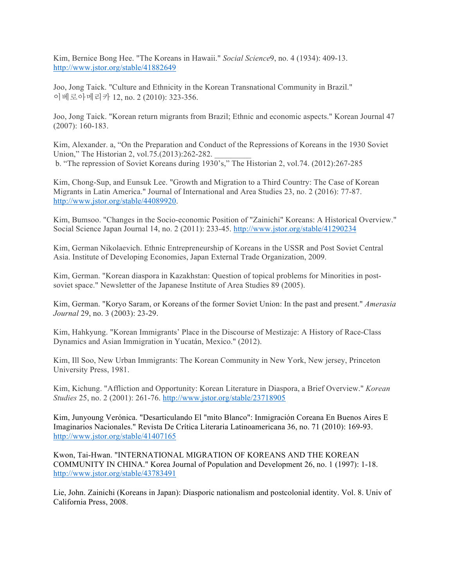Kim, Bernice Bong Hee. "The Koreans in Hawaii." *Social Science*9, no. 4 (1934): 409-13. http://www.jstor.org/stable/41882649

Joo, Jong Taick. "Culture and Ethnicity in the Korean Transnational Community in Brazil." 이베로아메리카 12, no. 2 (2010): 323-356.

Joo, Jong Taick. "Korean return migrants from Brazil; Ethnic and economic aspects." Korean Journal 47 (2007): 160-183.

Kim, Alexander. a, "On the Preparation and Conduct of the Repressions of Koreans in the 1930 Soviet Union," The Historian 2, vol.75.(2013):262-282. b. "The repression of Soviet Koreans during 1930's," The Historian 2, vol.74. (2012):267-285

Kim, Chong-Sup, and Eunsuk Lee. "Growth and Migration to a Third Country: The Case of Korean Migrants in Latin America." Journal of International and Area Studies 23, no. 2 (2016): 77-87. http://www.jstor.org/stable/44089920.

Kim, Bumsoo. "Changes in the Socio-economic Position of "Zainichi" Koreans: A Historical Overview." Social Science Japan Journal 14, no. 2 (2011): 233-45. http://www.jstor.org/stable/41290234

Kim, German Nikolaevich. Ethnic Entrepreneurship of Koreans in the USSR and Post Soviet Central Asia. Institute of Developing Economies, Japan External Trade Organization, 2009.

Kim, German. "Korean diaspora in Kazakhstan: Question of topical problems for Minorities in postsoviet space." Newsletter of the Japanese Institute of Area Studies 89 (2005).

Kim, German. "Koryo Saram, or Koreans of the former Soviet Union: In the past and present." *Amerasia Journal* 29, no. 3 (2003): 23-29.

Kim, Hahkyung. "Korean Immigrants' Place in the Discourse of Mestizaje: A History of Race-Class Dynamics and Asian Immigration in Yucatán, Mexico." (2012).

Kim, Ill Soo, New Urban Immigrants: The Korean Community in New York, New jersey, Princeton University Press, 1981.

Kim, Kichung. "Affliction and Opportunity: Korean Literature in Diaspora, a Brief Overview." *Korean Studies* 25, no. 2 (2001): 261-76. http://www.jstor.org/stable/23718905

Kim, Junyoung Verónica. "Desarticulando El "mito Blanco": Inmigración Coreana En Buenos Aires E Imaginarios Nacionales." Revista De Crítica Literaria Latinoamericana 36, no. 71 (2010): 169-93. http://www.jstor.org/stable/41407165

Kwon, Tai-Hwan. "INTERNATIONAL MIGRATION OF KOREANS AND THE KOREAN COMMUNITY IN CHINA." Korea Journal of Population and Development 26, no. 1 (1997): 1-18. http://www.jstor.org/stable/43783491

Lie, John. Zainichi (Koreans in Japan): Diasporic nationalism and postcolonial identity. Vol. 8. Univ of California Press, 2008.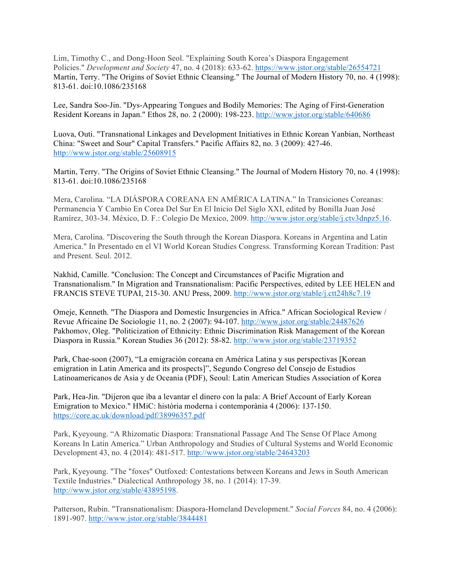Lim, Timothy C., and Dong-Hoon Seol. "Explaining South Korea's Diaspora Engagement Policies." *Development and Society* 47, no. 4 (2018): 633-62. https://www.jstor.org/stable/26554721 Martin, Terry. "The Origins of Soviet Ethnic Cleansing." The Journal of Modern History 70, no. 4 (1998): 813-61. doi:10.1086/235168

Lee, Sandra Soo-Jin. "Dys-Appearing Tongues and Bodily Memories: The Aging of First-Generation Resident Koreans in Japan." Ethos 28, no. 2 (2000): 198-223. http://www.jstor.org/stable/640686

Luova, Outi. "Transnational Linkages and Development Initiatives in Ethnic Korean Yanbian, Northeast China: "Sweet and Sour" Capital Transfers." Pacific Affairs 82, no. 3 (2009): 427-46. http://www.jstor.org/stable/25608915

Martin, Terry. "The Origins of Soviet Ethnic Cleansing." The Journal of Modern History 70, no. 4 (1998): 813-61. doi:10.1086/235168

Mera, Carolina. "LA DIÁSPORA COREANA EN AMÉRICA LATINA." In Transiciones Coreanas: Permanencia Y Cambio En Corea Del Sur En El Inicio Del Siglo XXI, edited by Bonilla Juan José Ramírez, 303-34. México, D. F.: Colegio De Mexico, 2009. http://www.jstor.org/stable/j.ctv3dnpz5.16.

Mera, Carolina. "Discovering the South through the Korean Diaspora. Koreans in Argentina and Latin America." In Presentado en el VI World Korean Studies Congress. Transforming Korean Tradition: Past and Present. Seul. 2012.

Nakhid, Camille. "Conclusion: The Concept and Circumstances of Pacific Migration and Transnationalism." In Migration and Transnationalism: Pacific Perspectives, edited by LEE HELEN and FRANCIS STEVE TUPAI, 215-30. ANU Press, 2009. http://www.jstor.org/stable/j.ctt24h8c7.19

Omeje, Kenneth. "The Diaspora and Domestic Insurgencies in Africa." African Sociological Review / Revue Africaine De Sociologie 11, no. 2 (2007): 94-107. http://www.jstor.org/stable/24487626 Pakhomov, Oleg. "Politicization of Ethnicity: Ethnic Discrimination Risk Management of the Korean Diaspora in Russia." Korean Studies 36 (2012): 58-82. http://www.jstor.org/stable/23719352

Park, Chae-soon (2007), "La emigración coreana en América Latina y sus perspectivas [Korean emigration in Latin America and its prospects]", Segundo Congreso del Consejo de Estudios Latinoamericanos de Asia y de Oceania (PDF), Seoul: Latin American Studies Association of Korea

Park, Hea-Jin. "Dijeron que iba a levantar el dinero con la pala: A Brief Account of Early Korean Emigration to Mexico." HMiC: història moderna i contemporània 4 (2006): 137-150. https://core.ac.uk/download/pdf/38996357.pdf

Park, Kyeyoung. "A Rhizomatic Diaspora: Transnational Passage And The Sense Of Place Among Koreans In Latin America." Urban Anthropology and Studies of Cultural Systems and World Economic Development 43, no. 4 (2014): 481-517. http://www.jstor.org/stable/24643203

Park, Kyeyoung. "The "foxes" Outfoxed: Contestations between Koreans and Jews in South American Textile Industries." Dialectical Anthropology 38, no. 1 (2014): 17-39. http://www.jstor.org/stable/43895198.

Patterson, Rubin. "Transnationalism: Diaspora-Homeland Development." *Social Forces* 84, no. 4 (2006): 1891-907. http://www.jstor.org/stable/3844481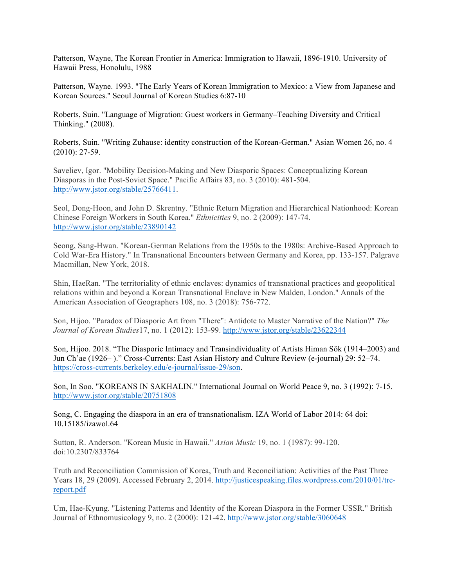Patterson, Wayne, The Korean Frontier in America: Immigration to Hawaii, 1896-1910. University of Hawaii Press, Honolulu, 1988

Patterson, Wayne. 1993. "The Early Years of Korean Immigration to Mexico: a View from Japanese and Korean Sources." Seoul Journal of Korean Studies 6:87-10

Roberts, Suin. "Language of Migration: Guest workers in Germany–Teaching Diversity and Critical Thinking." (2008).

Roberts, Suin. "Writing Zuhause: identity construction of the Korean-German." Asian Women 26, no. 4 (2010): 27-59.

Saveliev, Igor. "Mobility Decision-Making and New Diasporic Spaces: Conceptualizing Korean Diasporas in the Post-Soviet Space." Pacific Affairs 83, no. 3 (2010): 481-504. http://www.jstor.org/stable/25766411.

Seol, Dong-Hoon, and John D. Skrentny. "Ethnic Return Migration and Hierarchical Nationhood: Korean Chinese Foreign Workers in South Korea." *Ethnicities* 9, no. 2 (2009): 147-74. http://www.jstor.org/stable/23890142

Seong, Sang-Hwan. "Korean-German Relations from the 1950s to the 1980s: Archive-Based Approach to Cold War-Era History." In Transnational Encounters between Germany and Korea, pp. 133-157. Palgrave Macmillan, New York, 2018.

Shin, HaeRan. "The territoriality of ethnic enclaves: dynamics of transnational practices and geopolitical relations within and beyond a Korean Transnational Enclave in New Malden, London." Annals of the American Association of Geographers 108, no. 3 (2018): 756-772.

Son, Hijoo. "Paradox of Diasporic Art from "There": Antidote to Master Narrative of the Nation?" *The Journal of Korean Studies*17, no. 1 (2012): 153-99. http://www.jstor.org/stable/23622344

Son, Hijoo. 2018. "The Diasporic Intimacy and Transindividuality of Artists Himan Sŏk (1914–2003) and Jun Ch'ae (1926– )." Cross-Currents: East Asian History and Culture Review (e-journal) 29: 52–74. https://cross-currents.berkeley.edu/e-journal/issue-29/son.

Son, In Soo. "KOREANS IN SAKHALIN." International Journal on World Peace 9, no. 3 (1992): 7-15. http://www.jstor.org/stable/20751808

Song, C. Engaging the diaspora in an era of transnationalism. IZA World of Labor 2014: 64 doi: 10.15185/izawol.64

Sutton, R. Anderson. "Korean Music in Hawaii." *Asian Music* 19, no. 1 (1987): 99-120. doi:10.2307/833764

Truth and Reconciliation Commission of Korea, Truth and Reconciliation: Activities of the Past Three Years 18, 29 (2009). Accessed February 2, 2014. http://justicespeaking.files.wordpress.com/2010/01/trcreport.pdf

Um, Hae-Kyung. "Listening Patterns and Identity of the Korean Diaspora in the Former USSR." British Journal of Ethnomusicology 9, no. 2 (2000): 121-42. http://www.jstor.org/stable/3060648